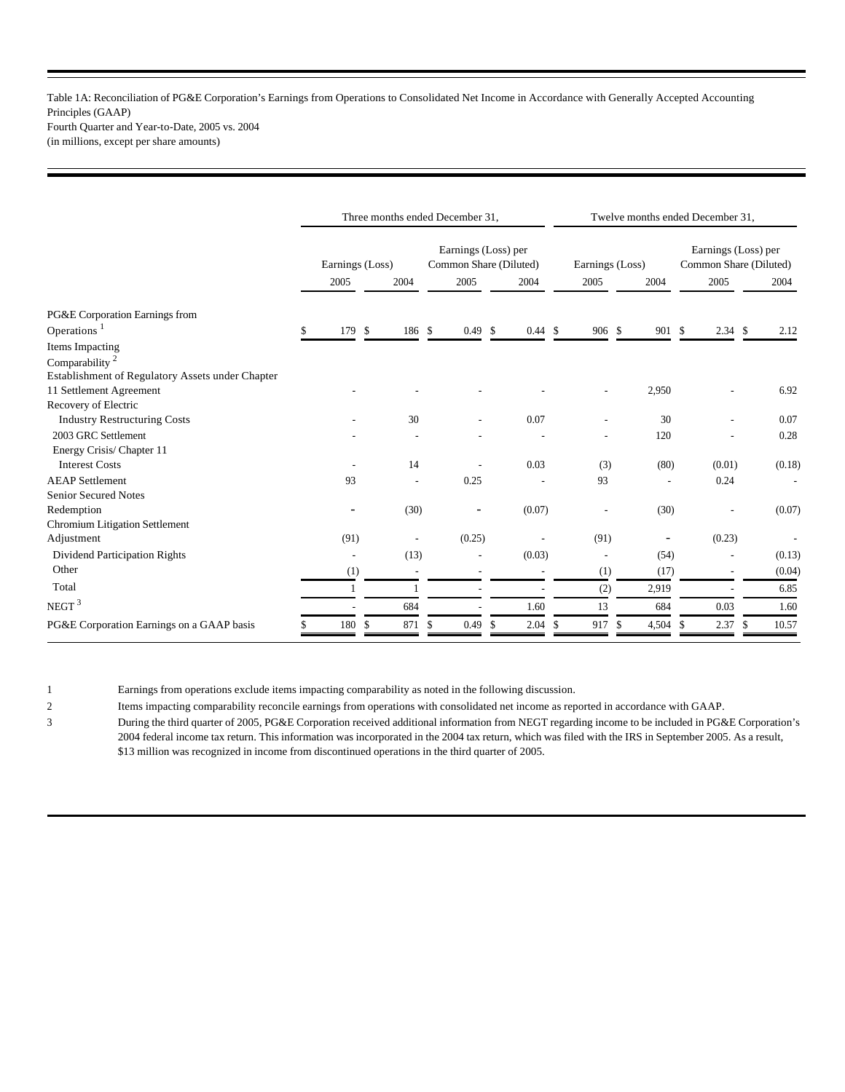Table 1A: Reconciliation of PG&E Corporation's Earnings from Operations to Consolidated Net Income in Accordance with Generally Accepted Accounting Principles (GAAP) Fourth Quarter and Year-to-Date, 2005 vs. 2004

(in millions, except per share amounts)

|                                                  | Three months ended December 31, |                |                          |    |                     | Twelve months ended December 31, |               |                          |    |                                               |    |           |               |        |
|--------------------------------------------------|---------------------------------|----------------|--------------------------|----|---------------------|----------------------------------|---------------|--------------------------|----|-----------------------------------------------|----|-----------|---------------|--------|
|                                                  | Earnings (Loss)                 |                |                          |    | Earnings (Loss) per | Common Share (Diluted)           |               | Earnings (Loss)          |    | Earnings (Loss) per<br>Common Share (Diluted) |    |           |               |        |
|                                                  | 2005                            |                | 2004                     |    | 2005                | 2004                             |               | 2005                     |    | 2004                                          |    | 2005      |               | 2004   |
| PG&E Corporation Earnings from                   |                                 |                |                          |    |                     |                                  |               |                          |    |                                               |    |           |               |        |
| Operations $1$                                   | \$                              | 179 \$         | 186 \$                   |    | $0.49$ \$           | $0.44 \text{ } $$                |               | 906 \$                   |    | 901 \$                                        |    | $2.34$ \$ |               | 2.12   |
| Items Impacting                                  |                                 |                |                          |    |                     |                                  |               |                          |    |                                               |    |           |               |        |
| Comparability <sup>2</sup>                       |                                 |                |                          |    |                     |                                  |               |                          |    |                                               |    |           |               |        |
| Establishment of Regulatory Assets under Chapter |                                 |                |                          |    |                     |                                  |               |                          |    |                                               |    |           |               |        |
| 11 Settlement Agreement                          |                                 |                |                          |    |                     |                                  |               |                          |    | 2,950                                         |    |           |               | 6.92   |
| Recovery of Electric                             |                                 |                |                          |    |                     |                                  |               |                          |    |                                               |    |           |               |        |
| <b>Industry Restructuring Costs</b>              |                                 |                | 30                       |    | ٠                   | 0.07                             |               |                          |    | 30                                            |    |           |               | 0.07   |
| 2003 GRC Settlement                              |                                 |                |                          |    |                     |                                  |               | $\overline{\phantom{a}}$ |    | 120                                           |    |           |               | 0.28   |
| Energy Crisis/Chapter 11                         |                                 |                |                          |    |                     |                                  |               |                          |    |                                               |    |           |               |        |
| <b>Interest Costs</b>                            |                                 |                | 14                       |    |                     | 0.03                             |               | (3)                      |    | (80)                                          |    | (0.01)    |               | (0.18) |
| <b>AEAP</b> Settlement                           |                                 | 93             |                          |    | 0.25                |                                  |               | 93                       |    |                                               |    | 0.24      |               |        |
| <b>Senior Secured Notes</b>                      |                                 |                |                          |    |                     |                                  |               |                          |    |                                               |    |           |               |        |
| Redemption                                       |                                 |                | (30)                     |    |                     | (0.07)                           |               |                          |    | (30)                                          |    |           |               | (0.07) |
| Chromium Litigation Settlement                   |                                 |                |                          |    |                     |                                  |               |                          |    |                                               |    |           |               |        |
| Adjustment                                       |                                 | (91)           | $\overline{\phantom{a}}$ |    | (0.25)              |                                  |               | (91)                     |    | $\overline{\phantom{a}}$                      |    | (0.23)    |               |        |
| Dividend Participation Rights                    |                                 | $\overline{a}$ | (13)                     |    |                     | (0.03)                           |               | $\overline{\phantom{a}}$ |    | (54)                                          |    |           |               | (0.13) |
| Other                                            |                                 | (1)            |                          |    |                     |                                  |               | (1)                      |    | (17)                                          |    |           |               | (0.04) |
| Total                                            |                                 | 1              |                          |    |                     |                                  |               | (2)                      |    | 2,919                                         |    | ٠         |               | 6.85   |
| NEGT <sup>3</sup>                                |                                 |                | 684                      |    |                     | 1.60                             |               | 13                       |    | 684                                           |    | 0.03      |               | 1.60   |
| PG&E Corporation Earnings on a GAAP basis        | 180                             | \$             | 871                      | \$ | 0.49                | \$<br>2.04                       | <sup>\$</sup> | 917                      | -S | 4,504                                         | -S | 2.37      | <sup>\$</sup> | 10.57  |

1 Earnings from operations exclude items impacting comparability as noted in the following discussion.

2 Items impacting comparability reconcile earnings from operations with consolidated net income as reported in accordance with GAAP.

3 During the third quarter of 2005, PG&E Corporation received additional information from NEGT regarding income to be included in PG&E Corporation's 2004 federal income tax return. This information was incorporated in the 2004 tax return, which was filed with the IRS in September 2005. As a result, \$13 million was recognized in income from discontinued operations in the third quarter of 2005.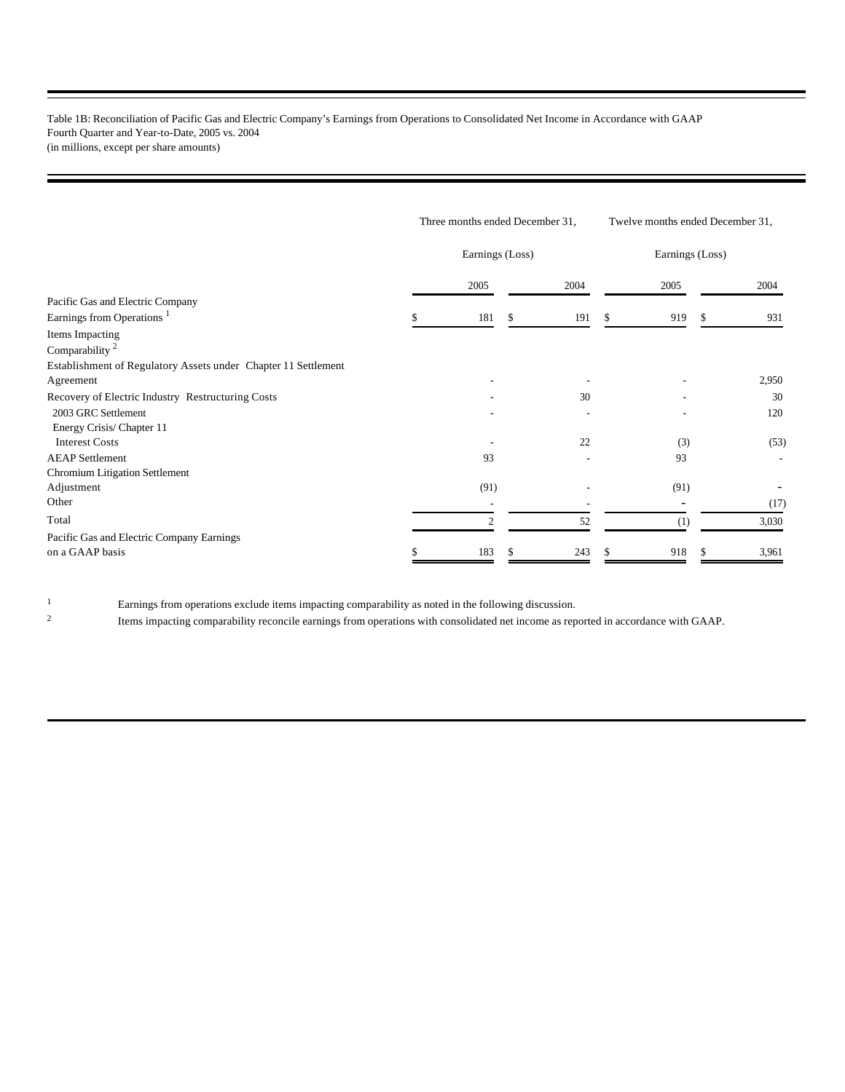Table 1B: Reconciliation of Pacific Gas and Electric Company's Earnings from Operations to Consolidated Net Income in Accordance with GAAP Fourth Quarter and Year-to-Date, 2005 vs. 2004 (in millions, except per share amounts)

|                                                                |     | Three months ended December 31, |     |      | Twelve months ended December 31, |      |          |       |
|----------------------------------------------------------------|-----|---------------------------------|-----|------|----------------------------------|------|----------|-------|
|                                                                |     | Earnings (Loss)                 |     |      | Earnings (Loss)                  |      |          |       |
|                                                                |     | 2005                            |     | 2004 |                                  | 2005 |          | 2004  |
| Pacific Gas and Electric Company                               |     |                                 |     |      |                                  |      |          |       |
| Earnings from Operations <sup>1</sup>                          | ăУ. | 181                             | \$. | 191  | S.                               | 919  | <b>S</b> | 931   |
| Items Impacting                                                |     |                                 |     |      |                                  |      |          |       |
| Comparability <sup>2</sup>                                     |     |                                 |     |      |                                  |      |          |       |
| Establishment of Regulatory Assets under Chapter 11 Settlement |     |                                 |     |      |                                  |      |          |       |
| Agreement                                                      |     |                                 |     |      |                                  |      |          | 2,950 |
| Recovery of Electric Industry Restructuring Costs              |     |                                 |     | 30   |                                  |      |          | 30    |
| 2003 GRC Settlement                                            |     |                                 |     |      |                                  |      |          | 120   |
| Energy Crisis/Chapter 11                                       |     |                                 |     |      |                                  |      |          |       |
| <b>Interest Costs</b>                                          |     |                                 |     | 22   |                                  | (3)  |          | (53)  |
| <b>AEAP</b> Settlement                                         |     | 93                              |     |      |                                  | 93   |          |       |
| Chromium Litigation Settlement                                 |     |                                 |     |      |                                  |      |          |       |
| Adjustment                                                     |     | (91)                            |     |      |                                  | (91) |          |       |
| Other                                                          |     |                                 |     |      |                                  |      |          | (17)  |
| Total                                                          |     | $\overline{c}$                  |     | 52   |                                  | (1)  |          | 3,030 |
| Pacific Gas and Electric Company Earnings                      |     |                                 |     |      |                                  |      |          |       |
| on a GAAP basis                                                |     | 183                             |     | 243  |                                  | 918  |          | 3,961 |

<sup>1</sup> Earnings from operations exclude items impacting comparability as noted in the following discussion.

2 Items impacting comparability reconcile earnings from operations with consolidated net income as reported in accordance with GAAP.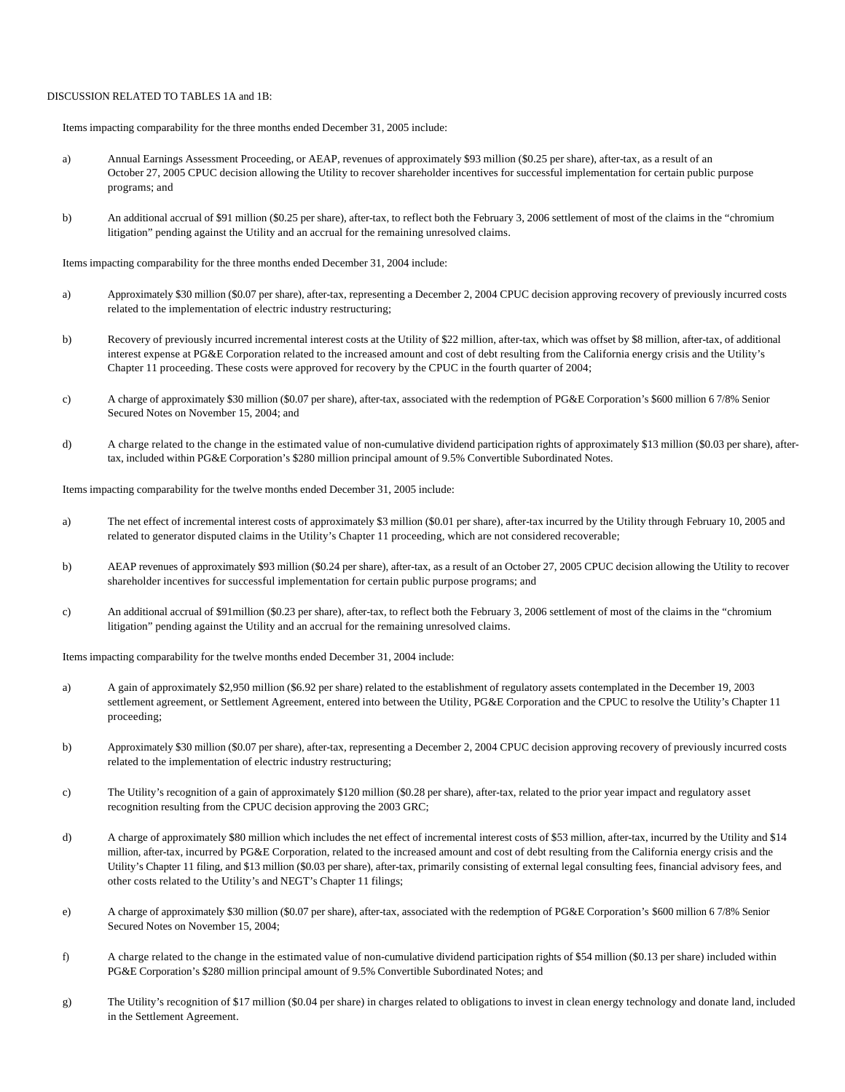#### DISCUSSION RELATED TO TABLES 1A and 1B:

Items impacting comparability for the three months ended December 31, 2005 include:

- a) Annual Earnings Assessment Proceeding, or AEAP, revenues of approximately \$93 million (\$0.25 per share), after-tax, as a result of an October 27, 2005 CPUC decision allowing the Utility to recover shareholder incentives for successful implementation for certain public purpose programs; and
- b) An additional accrual of \$91 million (\$0.25 per share), after-tax, to reflect both the February 3, 2006 settlement of most of the claims in the "chromium litigation" pending against the Utility and an accrual for the remaining unresolved claims.

Items impacting comparability for the three months ended December 31, 2004 include:

- a) Approximately \$30 million (\$0.07 per share), after-tax, representing a December 2, 2004 CPUC decision approving recovery of previously incurred costs related to the implementation of electric industry restructuring;
- b) Recovery of previously incurred incremental interest costs at the Utility of \$22 million, after-tax, which was offset by \$8 million, after-tax, of additional interest expense at PG&E Corporation related to the increased amount and cost of debt resulting from the California energy crisis and the Utility's Chapter 11 proceeding. These costs were approved for recovery by the CPUC in the fourth quarter of 2004;
- c) A charge of approximately \$30 million (\$0.07 per share), after-tax, associated with the redemption of PG&E Corporation's \$600 million 6 7/8% Senior Secured Notes on November 15, 2004; and
- d) A charge related to the change in the estimated value of non-cumulative dividend participation rights of approximately \$13 million (\$0.03 per share), aftertax, included within PG&E Corporation's \$280 million principal amount of 9.5% Convertible Subordinated Notes.

Items impacting comparability for the twelve months ended December 31, 2005 include:

- a) The net effect of incremental interest costs of approximately \$3 million (\$0.01 per share), after-tax incurred by the Utility through February 10, 2005 and related to generator disputed claims in the Utility's Chapter 11 proceeding, which are not considered recoverable;
- b) AEAP revenues of approximately \$93 million (\$0.24 per share), after-tax, as a result of an October 27, 2005 CPUC decision allowing the Utility to recover shareholder incentives for successful implementation for certain public purpose programs; and
- c) An additional accrual of \$91million (\$0.23 per share), after-tax, to reflect both the February 3, 2006 settlement of most of the claims in the "chromium litigation" pending against the Utility and an accrual for the remaining unresolved claims.

Items impacting comparability for the twelve months ended December 31, 2004 include:

- a) A gain of approximately \$2,950 million (\$6.92 per share) related to the establishment of regulatory assets contemplated in the December 19, 2003 settlement agreement, or Settlement Agreement, entered into between the Utility, PG&E Corporation and the CPUC to resolve the Utility's Chapter 11 proceeding;
- b) Approximately \$30 million (\$0.07 per share), after-tax, representing a December 2, 2004 CPUC decision approving recovery of previously incurred costs related to the implementation of electric industry restructuring;
- c) The Utility's recognition of a gain of approximately \$120 million (\$0.28 per share), after-tax, related to the prior year impact and regulatory asset recognition resulting from the CPUC decision approving the 2003 GRC;
- d) A charge of approximately \$80 million which includes the net effect of incremental interest costs of \$53 million, after-tax, incurred by the Utility and \$14 million, after-tax, incurred by PG&E Corporation, related to the increased amount and cost of debt resulting from the California energy crisis and the Utility's Chapter 11 filing, and \$13 million (\$0.03 per share), after-tax, primarily consisting of external legal consulting fees, financial advisory fees, and other costs related to the Utility's and NEGT's Chapter 11 filings;
- e) A charge of approximately \$30 million (\$0.07 per share), after-tax, associated with the redemption of PG&E Corporation's \$600 million 6 7/8% Senior Secured Notes on November 15, 2004;
- f) A charge related to the change in the estimated value of non-cumulative dividend participation rights of \$54 million (\$0.13 per share) included within PG&E Corporation's \$280 million principal amount of 9.5% Convertible Subordinated Notes; and
- g) The Utility's recognition of \$17 million (\$0.04 per share) in charges related to obligations to invest in clean energy technology and donate land, included in the Settlement Agreement.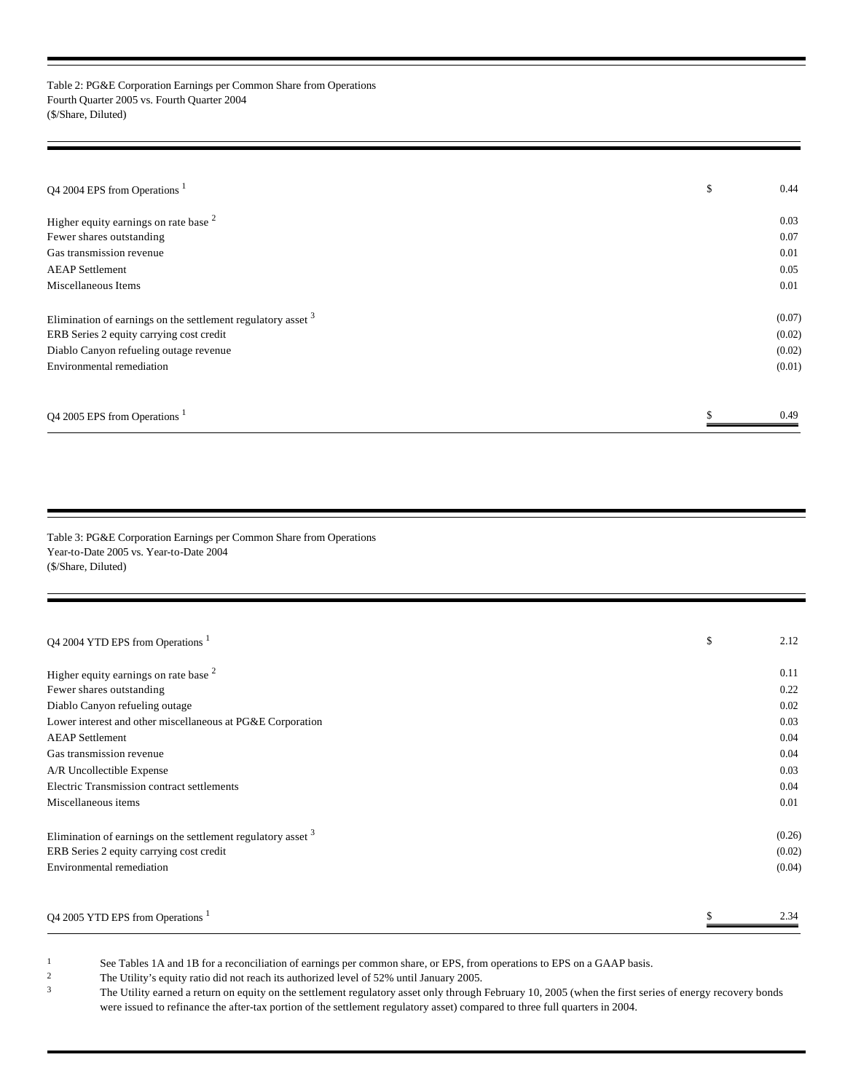Table 2: PG&E Corporation Earnings per Common Share from Operations Fourth Quarter 2005 vs. Fourth Quarter 2004 (\$/Share, Diluted)

| Q4 2004 EPS from Operations <sup>1</sup>                       | \$<br>0.44 |
|----------------------------------------------------------------|------------|
| Higher equity earnings on rate base $2$                        | 0.03       |
| Fewer shares outstanding                                       | 0.07       |
| Gas transmission revenue                                       | 0.01       |
| <b>AEAP</b> Settlement                                         | 0.05       |
| Miscellaneous Items                                            | 0.01       |
| Elimination of earnings on the settlement regulatory asset $3$ | (0.07)     |
| ERB Series 2 equity carrying cost credit                       | (0.02)     |
| Diablo Canyon refueling outage revenue                         | (0.02)     |
| Environmental remediation                                      | (0.01)     |
| Q4 2005 EPS from Operations                                    | 0.49       |

Table 3: PG&E Corporation Earnings per Common Share from Operations Year-to-Date 2005 vs. Year-to-Date 2004 (\$/Share, Diluted)

| Q4 2004 YTD EPS from Operations <sup>1</sup>                   | \$<br>2.12 |
|----------------------------------------------------------------|------------|
| Higher equity earnings on rate base $2$                        | 0.11       |
| Fewer shares outstanding                                       | 0.22       |
| Diablo Canyon refueling outage                                 | 0.02       |
| Lower interest and other miscellaneous at PG&E Corporation     | 0.03       |
| <b>AEAP</b> Settlement                                         | 0.04       |
| Gas transmission revenue                                       | 0.04       |
| A/R Uncollectible Expense                                      | 0.03       |
| Electric Transmission contract settlements                     | 0.04       |
| Miscellaneous items                                            | 0.01       |
| Elimination of earnings on the settlement regulatory asset $3$ | (0.26)     |
| ERB Series 2 equity carrying cost credit                       | (0.02)     |
| Environmental remediation                                      | (0.04)     |
|                                                                | \$<br>2.34 |
| Q4 2005 YTD EPS from Operations                                |            |

1 See Tables 1A and 1B for a reconciliation of earnings per common share, or EPS, from operations to EPS on a GAAP basis.<br><sup>2</sup> The Utility's equity ratio did not reach its authorized level of 52% until January 2005

<sup>2</sup> The Utility's equity ratio did not reach its authorized level of 52% until January 2005.<br><sup>3</sup> The Utility earned a return on equity on the settlement regulatory asset only through

<sup>3</sup> The Utility earned a return on equity on the settlement regulatory asset only through February 10, 2005 (when the first series of energy recovery bonds were issued to refinance the after-tax portion of the settlement regulatory asset) compared to three full quarters in 2004.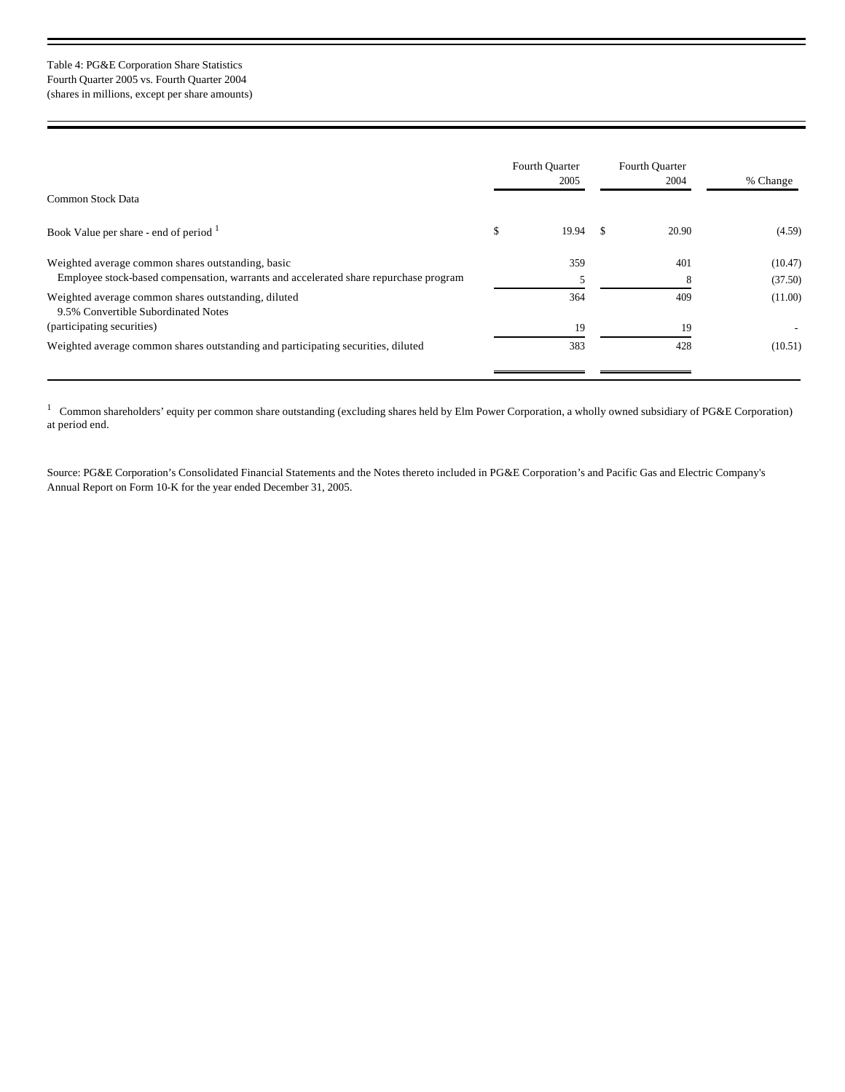### Table 4: PG&E Corporation Share Statistics Fourth Quarter 2005 vs. Fourth Quarter 2004 (shares in millions, except per share amounts)

|                                                                                                                                           | <b>Fourth Quarter</b><br>2005 | Fourth Quarter<br>2004 | % Change           |
|-------------------------------------------------------------------------------------------------------------------------------------------|-------------------------------|------------------------|--------------------|
| Common Stock Data                                                                                                                         |                               |                        |                    |
| Book Value per share - end of period <sup>1</sup>                                                                                         | \$<br>19.94                   | 20.90                  | (4.59)             |
| Weighted average common shares outstanding, basic<br>Employee stock-based compensation, warrants and accelerated share repurchase program | 359                           | 401                    | (10.47)<br>(37.50) |
| Weighted average common shares outstanding, diluted<br>9.5% Convertible Subordinated Notes                                                | 364                           | 409                    | (11.00)            |
| (participating securities)                                                                                                                | 19                            | 19                     |                    |
| Weighted average common shares outstanding and participating securities, diluted                                                          | 383                           | 428                    | (10.51)            |

<sup>1</sup> Common shareholders' equity per common share outstanding (excluding shares held by Elm Power Corporation, a wholly owned subsidiary of PG&E Corporation) at period end.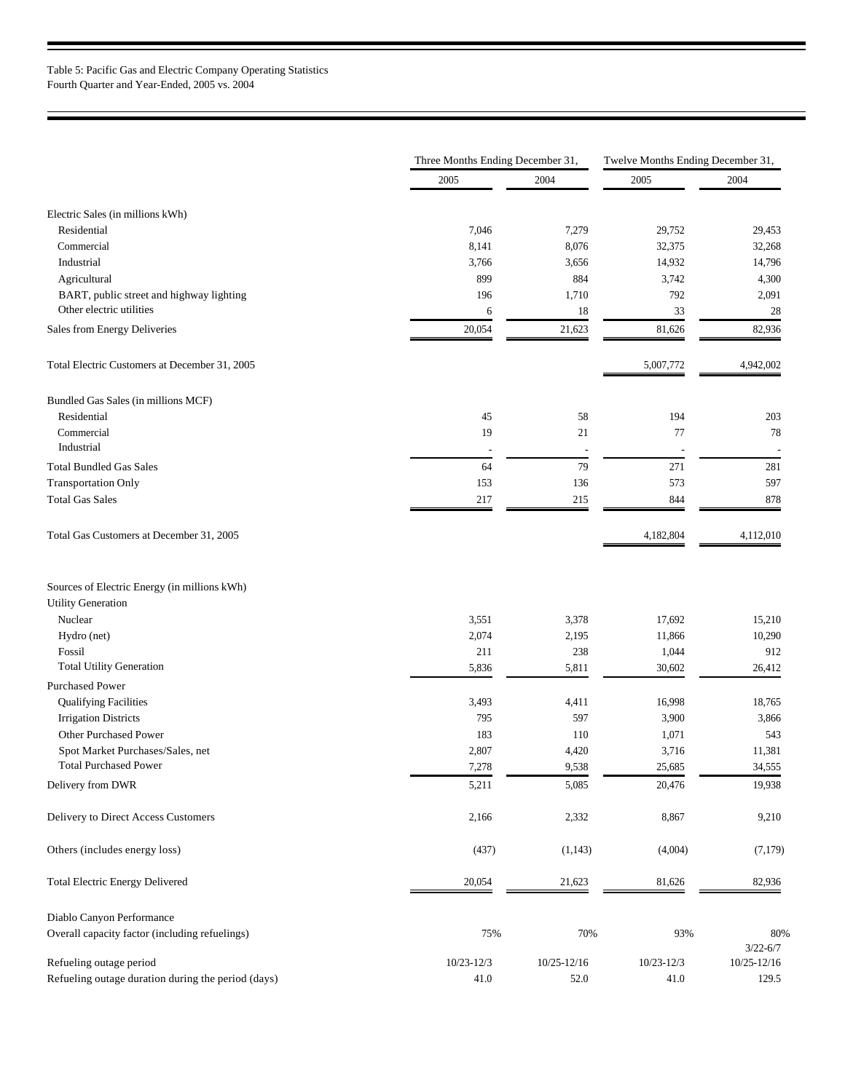|                                                                                      | Three Months Ending December 31, |             | Twelve Months Ending December 31, |                     |  |
|--------------------------------------------------------------------------------------|----------------------------------|-------------|-----------------------------------|---------------------|--|
|                                                                                      | 2005                             | 2004        | 2005                              | 2004                |  |
| Electric Sales (in millions kWh)                                                     |                                  |             |                                   |                     |  |
| Residential                                                                          | 7,046                            | 7,279       | 29,752                            | 29,453              |  |
| Commercial                                                                           | 8,141                            | 8,076       | 32,375                            | 32,268              |  |
| Industrial                                                                           | 3,766                            | 3,656       | 14,932                            | 14,796              |  |
| Agricultural                                                                         | 899                              | 884         | 3,742                             | 4,300               |  |
|                                                                                      | 196                              |             | 792                               |                     |  |
| BART, public street and highway lighting<br>Other electric utilities                 | 6                                | 1,710<br>18 | 33                                | 2,091<br>28         |  |
| Sales from Energy Deliveries                                                         | 20,054                           | 21,623      | 81,626                            | 82,936              |  |
|                                                                                      |                                  |             |                                   |                     |  |
| Total Electric Customers at December 31, 2005                                        |                                  |             | 5,007,772                         | 4,942,002           |  |
| Bundled Gas Sales (in millions MCF)                                                  |                                  |             |                                   |                     |  |
| Residential                                                                          | 45                               | 58          | 194                               | 203                 |  |
| Commercial<br>Industrial                                                             | 19<br>÷,                         | 21<br>÷     | 77<br>$\overline{a}$              | 78                  |  |
| <b>Total Bundled Gas Sales</b>                                                       | 64                               | 79          | 271                               | 281                 |  |
| <b>Transportation Only</b>                                                           | 153                              | 136         | 573                               | 597                 |  |
| <b>Total Gas Sales</b>                                                               | 217                              | 215         | 844                               | 878                 |  |
| Total Gas Customers at December 31, 2005                                             |                                  |             | 4,182,804                         | 4,112,010           |  |
| Sources of Electric Energy (in millions kWh)<br><b>Utility Generation</b><br>Nuclear | 3,551                            | 3,378       | 17,692                            | 15,210              |  |
| Hydro (net)                                                                          | 2,074                            | 2,195       | 11,866                            | 10,290              |  |
| Fossil                                                                               | 211                              | 238         | 1,044                             | 912                 |  |
| <b>Total Utility Generation</b>                                                      | 5,836                            | 5,811       | 30,602                            | 26,412              |  |
| <b>Purchased Power</b>                                                               |                                  |             |                                   |                     |  |
| <b>Qualifying Facilities</b>                                                         | 3,493                            | 4,411       | 16,998                            | 18,765              |  |
| <b>Irrigation Districts</b>                                                          | 795                              | 597         | 3,900                             | 3,866               |  |
| <b>Other Purchased Power</b>                                                         | 183                              | 110         | 1,071                             | 543                 |  |
| Spot Market Purchases/Sales, net                                                     | 2,807                            | 4,420       | 3,716                             | 11,381              |  |
| <b>Total Purchased Power</b>                                                         | 7,278                            | 9,538       | 25,685                            | 34,555              |  |
| Delivery from DWR                                                                    | 5,211                            | 5,085       | 20,476                            | 19,938              |  |
| Delivery to Direct Access Customers                                                  | 2,166                            | 2,332       | 8,867                             | 9,210               |  |
| Others (includes energy loss)                                                        | (437)                            | (1,143)     | (4,004)                           | (7,179)             |  |
| Total Electric Energy Delivered                                                      | 20,054                           | 21,623      | 81,626                            | 82,936              |  |
| Diablo Canyon Performance                                                            |                                  |             |                                   |                     |  |
| Overall capacity factor (including refuelings)                                       | 75%                              | 70%         | 93%                               | 80%<br>$3/22 - 6/7$ |  |
| Refueling outage period                                                              | $10/23 - 12/3$                   | 10/25-12/16 | $10/23 - 12/3$                    | 10/25-12/16         |  |
| Refueling outage duration during the period (days)                                   | 41.0                             | 52.0        | 41.0                              | 129.5               |  |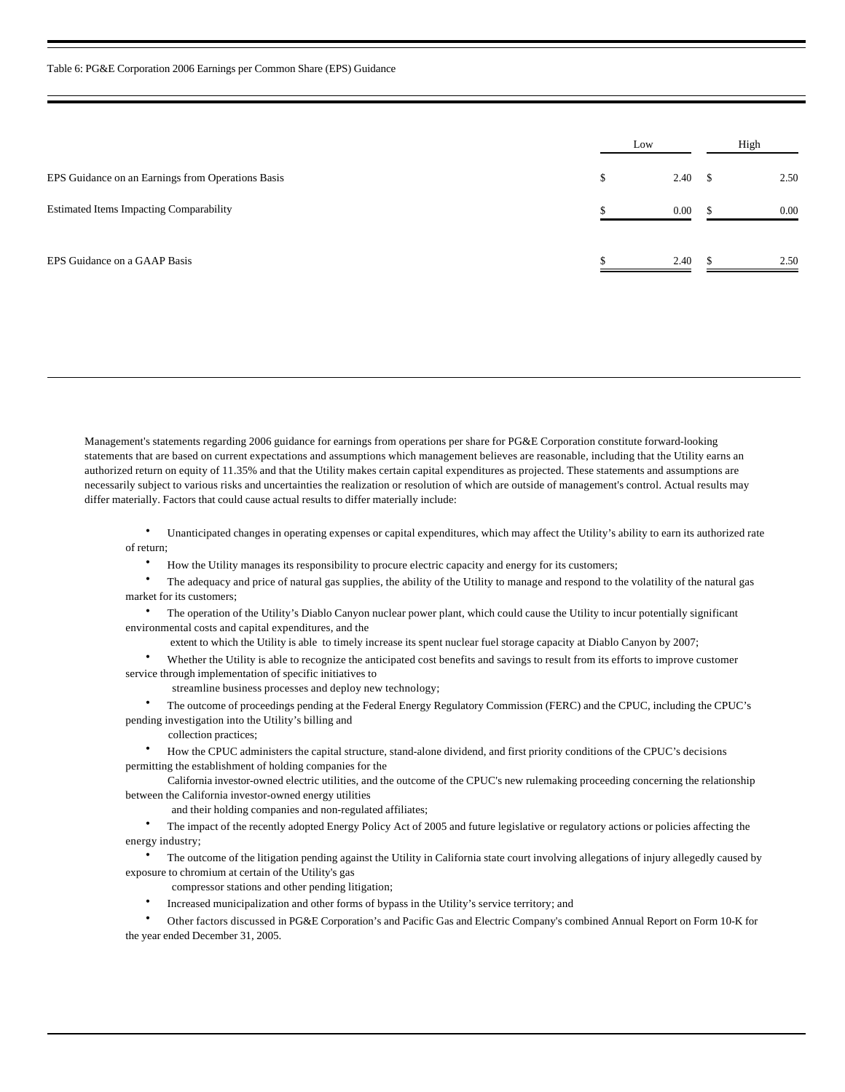|                                                   | Low |      | High       |      |
|---------------------------------------------------|-----|------|------------|------|
| EPS Guidance on an Earnings from Operations Basis | \$  | 2.40 | $^{\circ}$ | 2.50 |
| <b>Estimated Items Impacting Comparability</b>    |     | 0.00 |            | 0.00 |
| EPS Guidance on a GAAP Basis                      |     | 2.40 |            | 2.50 |

Management's statements regarding 2006 guidance for earnings from operations per share for PG&E Corporation constitute forward-looking statements that are based on current expectations and assumptions which management believes are reasonable, including that the Utility earns an authorized return on equity of 11.35% and that the Utility makes certain capital expenditures as projected. These statements and assumptions are necessarily subject to various risks and uncertainties the realization or resolution of which are outside of management's control. Actual results may differ materially. Factors that could cause actual results to differ materially include:

· Unanticipated changes in operating expenses or capital expenditures, which may affect the Utility's ability to earn its authorized rate of return;

- · How the Utility manages its responsibility to procure electric capacity and energy for its customers;
- · The adequacy and price of natural gas supplies, the ability of the Utility to manage and respond to the volatility of the natural gas market for its customers;

· The operation of the Utility's Diablo Canyon nuclear power plant, which could cause the Utility to incur potentially significant environmental costs and capital expenditures, and the

extent to which the Utility is able to timely increase its spent nuclear fuel storage capacity at Diablo Canyon by 2007;

· Whether the Utility is able to recognize the anticipated cost benefits and savings to result from its efforts to improve customer service through implementation of specific initiatives to

streamline business processes and deploy new technology;

· The outcome of proceedings pending at the Federal Energy Regulatory Commission (FERC) and the CPUC, including the CPUC's pending investigation into the Utility's billing and

collection practices;

· How the CPUC administers the capital structure, stand-alone dividend, and first priority conditions of the CPUC's decisions permitting the establishment of holding companies for the

 California investor-owned electric utilities, and the outcome of the CPUC's new rulemaking proceeding concerning the relationship between the California investor-owned energy utilities

and their holding companies and non-regulated affiliates;

· The impact of the recently adopted Energy Policy Act of 2005 and future legislative or regulatory actions or policies affecting the energy industry;

· The outcome of the litigation pending against the Utility in California state court involving allegations of injury allegedly caused by exposure to chromium at certain of the Utility's gas

- compressor stations and other pending litigation;
- · Increased municipalization and other forms of bypass in the Utility's service territory; and

· Other factors discussed in PG&E Corporation's and Pacific Gas and Electric Company's combined Annual Report on Form 10-K for the year ended December 31, 2005.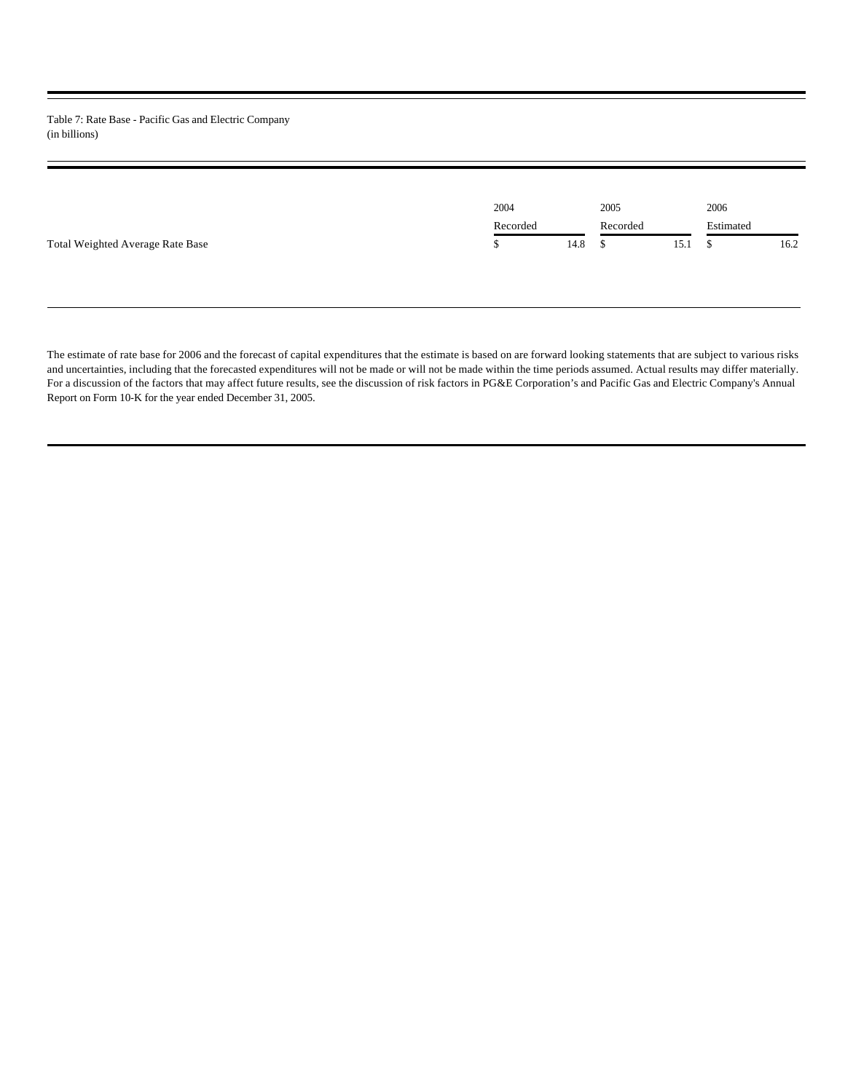Table 7: Rate Base - Pacific Gas and Electric Company (in billions)

|                                  | 2004     |      | 2005     |      | 2006      |      |
|----------------------------------|----------|------|----------|------|-----------|------|
|                                  | Recorded |      | Recorded |      | Estimated |      |
| Total Weighted Average Rate Base |          | 14.8 |          | 15.1 |           | 16.2 |

The estimate of rate base for 2006 and the forecast of capital expenditures that the estimate is based on are forward looking statements that are subject to various risks and uncertainties, including that the forecasted expenditures will not be made or will not be made within the time periods assumed. Actual results may differ materially. For a discussion of the factors that may affect future results, see the discussion of risk factors in PG&E Corporation's and Pacific Gas and Electric Company's Annual Report on Form 10-K for the year ended December 31, 2005.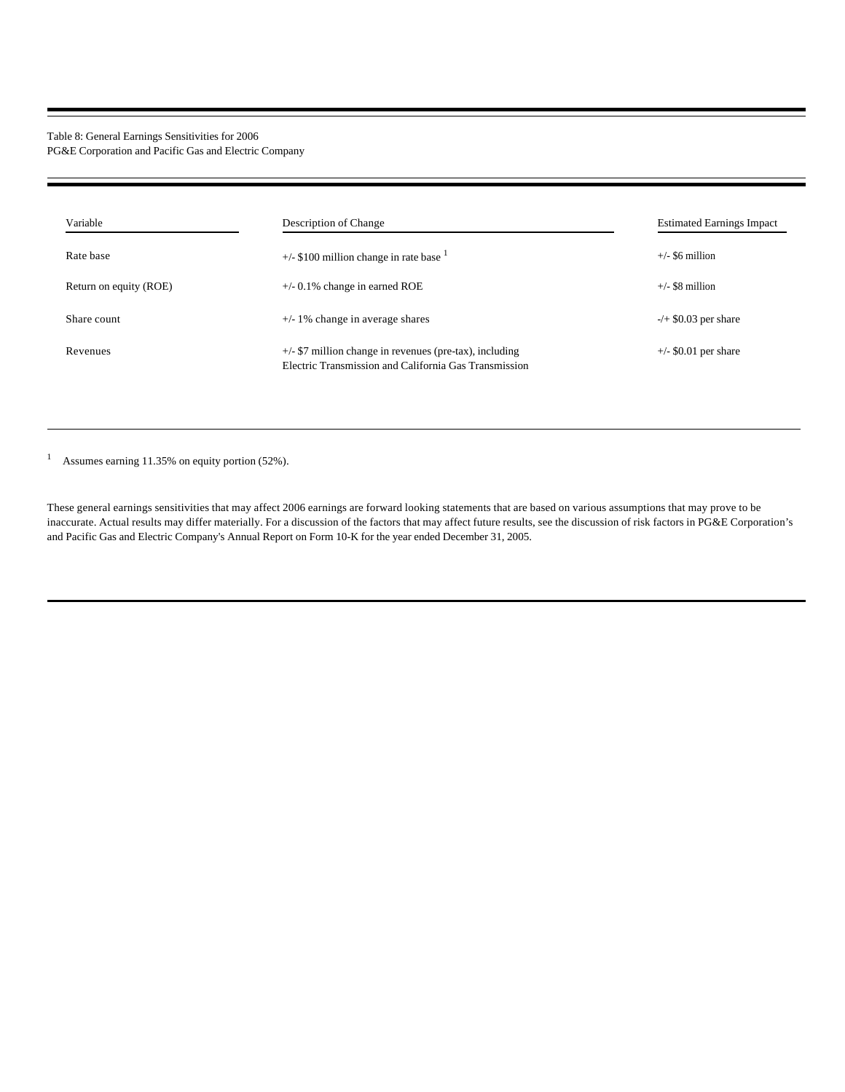### Table 8: General Earnings Sensitivities for 2006 PG&E Corporation and Pacific Gas and Electric Company

| Variable               | Description of Change                                                                                                                 | <b>Estimated Earnings Impact</b> |
|------------------------|---------------------------------------------------------------------------------------------------------------------------------------|----------------------------------|
| Rate base              | $+/-$ \$100 million change in rate base $\frac{1}{2}$                                                                                 | $+/-$ \$6 million                |
| Return on equity (ROE) | $+/-$ 0.1% change in earned ROE                                                                                                       | $+/-$ \$8 million                |
| Share count            | $+/-$ 1% change in average shares                                                                                                     | $-/-$ \$0.03 per share           |
| Revenues               | $+\frac{1}{2}$ $\frac{1}{2}$ million change in revenues (pre-tax), including<br>Electric Transmission and California Gas Transmission | $+\frac{50.01}{5}$ per share     |

1 Assumes earning 11.35% on equity portion (52%).

These general earnings sensitivities that may affect 2006 earnings are forward looking statements that are based on various assumptions that may prove to be inaccurate. Actual results may differ materially. For a discussion of the factors that may affect future results, see the discussion of risk factors in PG&E Corporation's and Pacific Gas and Electric Company's Annual Report on Form 10-K for the year ended December 31, 2005.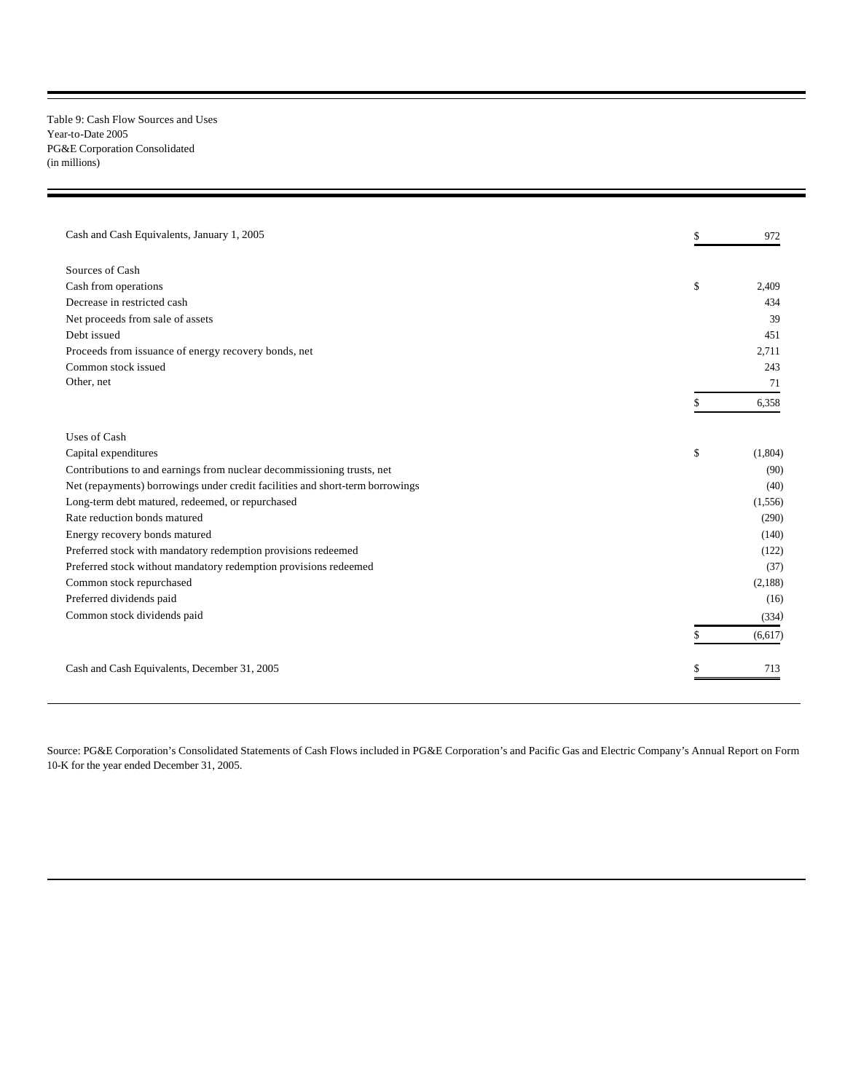Table 9: Cash Flow Sources and Uses Year-to-Date 2005 PG&E Corporation Consolidated (in millions)

| Cash and Cash Equivalents, January 1, 2005                                    | \$<br>972     |
|-------------------------------------------------------------------------------|---------------|
| Sources of Cash                                                               |               |
| Cash from operations                                                          | \$<br>2.409   |
| Decrease in restricted cash                                                   | 434           |
| Net proceeds from sale of assets                                              | 39            |
| Debt issued                                                                   | 451           |
| Proceeds from issuance of energy recovery bonds, net                          | 2.711         |
| Common stock issued                                                           | 243           |
| Other, net                                                                    | 71            |
|                                                                               | 6,358         |
| Uses of Cash                                                                  |               |
| Capital expenditures                                                          | \$<br>(1,804) |
| Contributions to and earnings from nuclear decommissioning trusts, net        | (90)          |
| Net (repayments) borrowings under credit facilities and short-term borrowings | (40)          |
| Long-term debt matured, redeemed, or repurchased                              | (1,556)       |
| Rate reduction bonds matured                                                  | (290)         |
| Energy recovery bonds matured                                                 | (140)         |
| Preferred stock with mandatory redemption provisions redeemed                 | (122)         |
| Preferred stock without mandatory redemption provisions redeemed              | (37)          |
| Common stock repurchased                                                      | (2,188)       |
| Preferred dividends paid                                                      | (16)          |
| Common stock dividends paid                                                   | (334)         |
|                                                                               | (6,617)       |
| Cash and Cash Equivalents, December 31, 2005                                  | 713           |

Source: PG&E Corporation's Consolidated Statements of Cash Flows included in PG&E Corporation's and Pacific Gas and Electric Company's Annual Report on Form 10-K for the year ended December 31, 2005.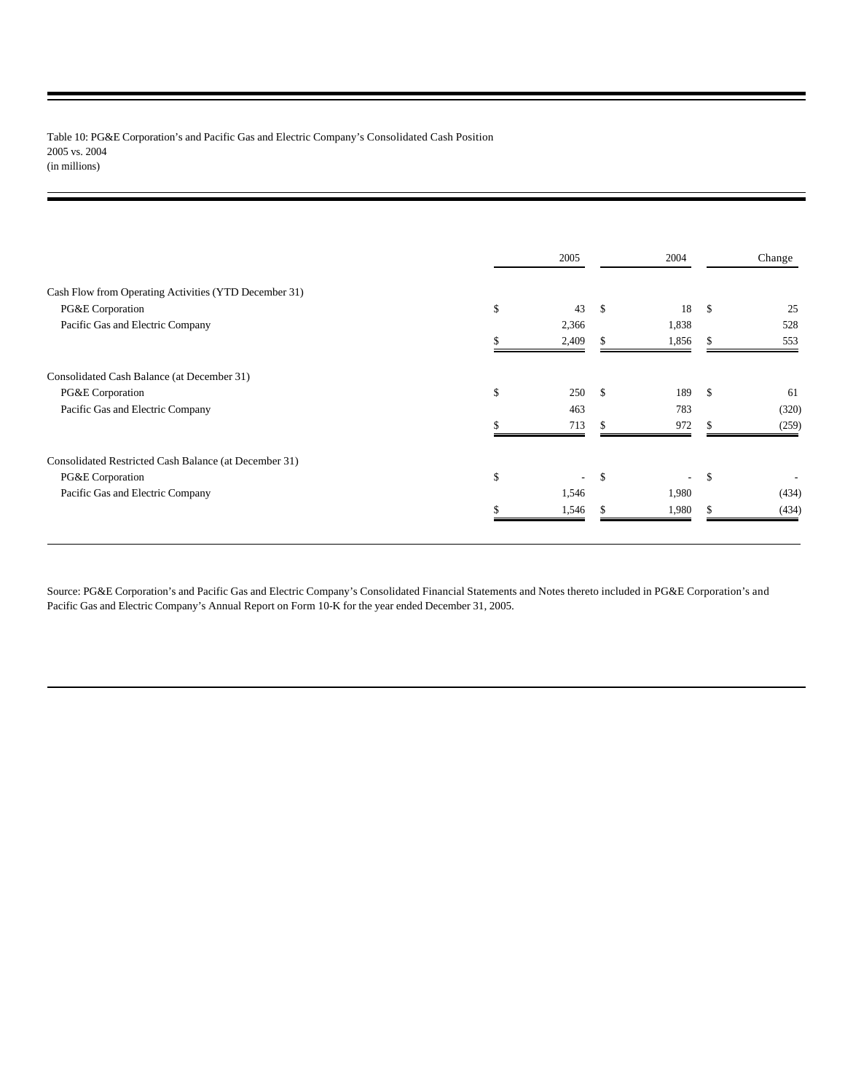Table 10: PG&E Corporation's and Pacific Gas and Electric Company's Consolidated Cash Position 2005 vs. 2004 (in millions)

| 2005         |     | 2004                     |     | Change |
|--------------|-----|--------------------------|-----|--------|
|              |     |                          |     |        |
| \$<br>43     | \$  | 18                       | \$  | 25     |
| 2,366        |     | 1,838                    |     | 528    |
| 2,409        |     | 1,856                    | \$. | 553    |
|              |     |                          |     |        |
| \$<br>250    | \$. | 189                      | \$  | 61     |
| 463          |     | 783                      |     | (320)  |
| 713          |     | 972                      |     | (259)  |
|              |     |                          |     |        |
| \$<br>$\sim$ | \$  | $\overline{\phantom{a}}$ | \$  |        |
| 1,546        |     | 1,980                    |     | (434)  |
| 1,546        |     | 1,980                    | \$  | (434)  |
|              |     |                          |     |        |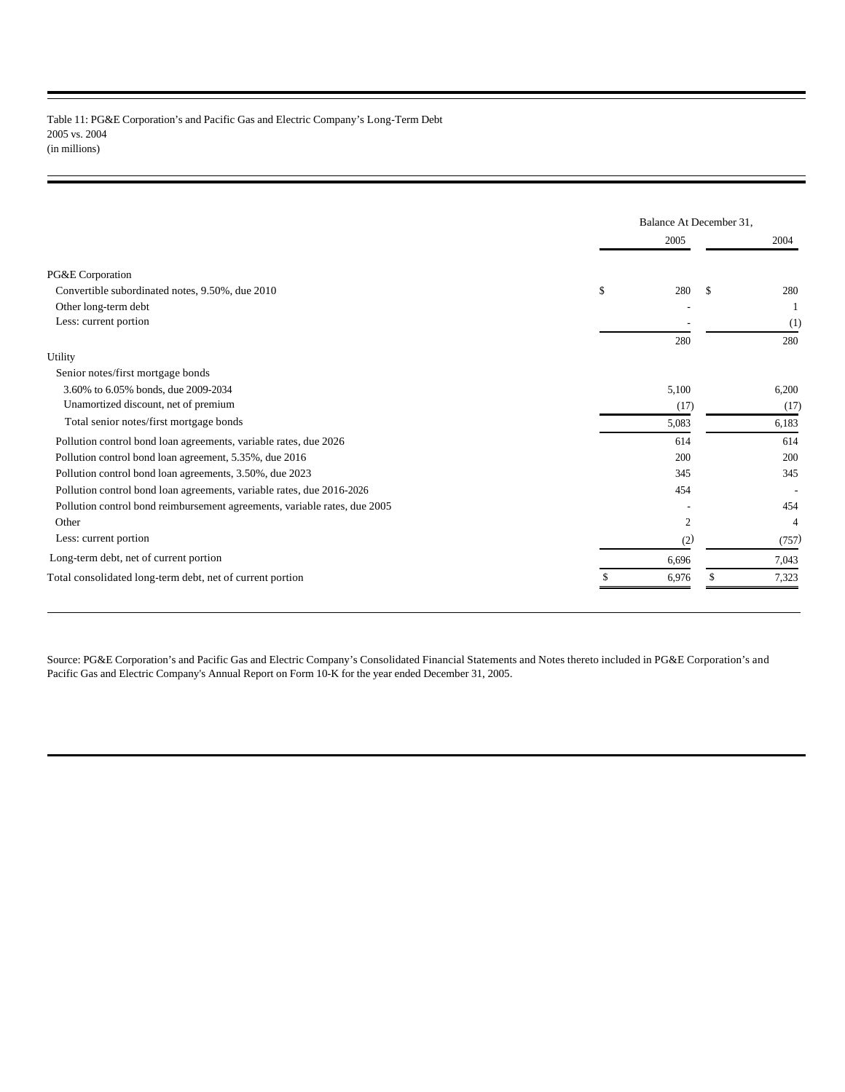### Table 11: PG&E Corporation's and Pacific Gas and Electric Company's Long-Term Debt 2005 vs. 2004 (in millions)

|                                                                           |       | Balance At December 31, |       |
|---------------------------------------------------------------------------|-------|-------------------------|-------|
|                                                                           | 2005  |                         | 2004  |
| PG&E Corporation                                                          |       |                         |       |
| Convertible subordinated notes, 9.50%, due 2010                           | \$    | 280<br>\$.              | 280   |
| Other long-term debt                                                      |       |                         |       |
| Less: current portion                                                     |       |                         | (1)   |
|                                                                           | 280   |                         | 280   |
| Utility                                                                   |       |                         |       |
| Senior notes/first mortgage bonds                                         |       |                         |       |
| 3.60% to 6.05% bonds, due 2009-2034                                       | 5,100 |                         | 6,200 |
| Unamortized discount, net of premium                                      |       | (17)                    | (17)  |
| Total senior notes/first mortgage bonds                                   | 5,083 |                         | 6,183 |
| Pollution control bond loan agreements, variable rates, due 2026          | 614   |                         | 614   |
| Pollution control bond loan agreement, 5.35%, due 2016                    |       | 200                     | 200   |
| Pollution control bond loan agreements, 3.50%, due 2023                   |       | 345                     | 345   |
| Pollution control bond loan agreements, variable rates, due 2016-2026     |       | 454                     |       |
| Pollution control bond reimbursement agreements, variable rates, due 2005 |       |                         | 454   |
| Other                                                                     |       | 2                       | 4     |
| Less: current portion                                                     |       | (2)                     | (757) |
| Long-term debt, net of current portion                                    | 6,696 |                         | 7,043 |
| Total consolidated long-term debt, net of current portion                 | 6,976 |                         | 7,323 |
|                                                                           |       |                         |       |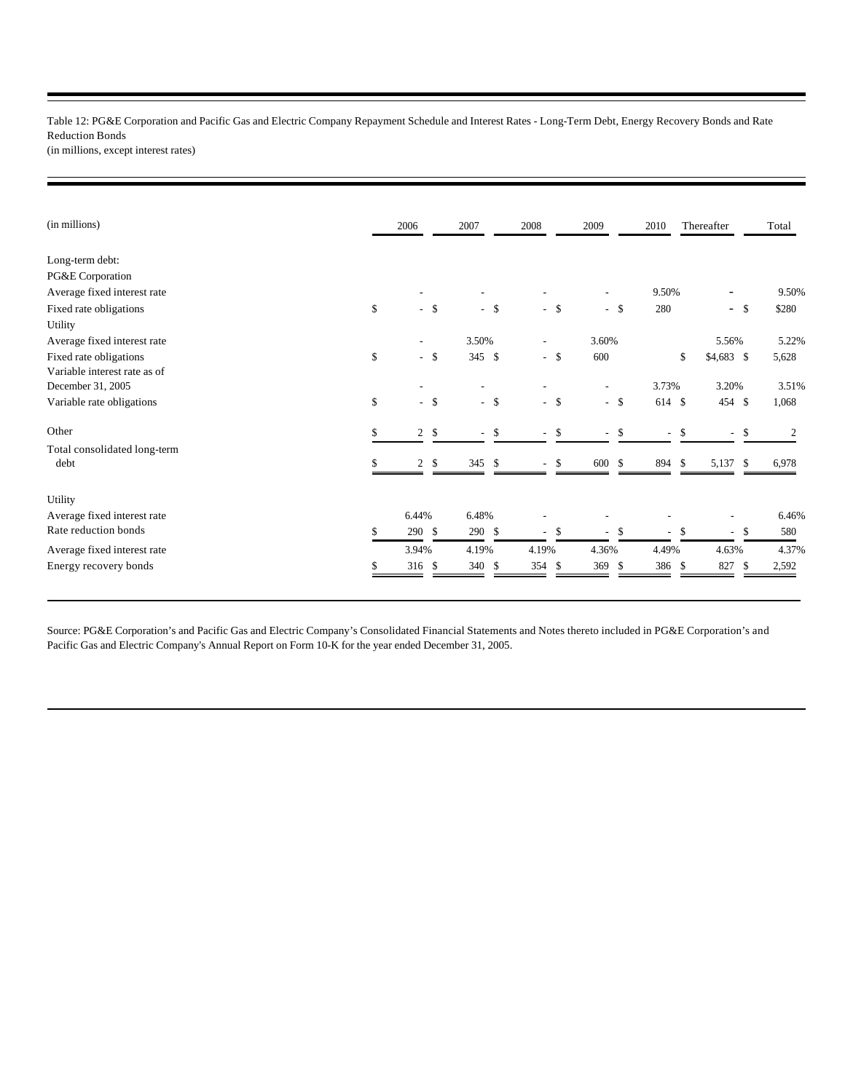Table 12: PG&E Corporation and Pacific Gas and Electric Company Repayment Schedule and Interest Rates - Long-Term Debt, Energy Recovery Bonds and Rate Reduction Bonds (in millions, except interest rates)

| (in millions)                | 2006                 |               | 2007   | 2008                           | 2009                     |        | 2010                     |     | Thereafter               | Total       |  |
|------------------------------|----------------------|---------------|--------|--------------------------------|--------------------------|--------|--------------------------|-----|--------------------------|-------------|--|
| Long-term debt:              |                      |               |        |                                |                          |        |                          |     |                          |             |  |
| PG&E Corporation             |                      |               |        |                                |                          |        |                          |     |                          |             |  |
| Average fixed interest rate  |                      |               |        |                                |                          |        | 9.50%                    |     |                          | 9.50%       |  |
| Fixed rate obligations       | \$<br>$-$ \$         |               | $-$ \$ | $-$ \$                         |                          | $-$ \$ | 280                      |     | $\sim$                   | \$280<br>\$ |  |
| Utility                      |                      |               |        |                                |                          |        |                          |     |                          |             |  |
| Average fixed interest rate  |                      |               | 3.50%  |                                | 3.60%                    |        |                          |     | 5.56%                    | 5.22%       |  |
| Fixed rate obligations       | \$<br>$-$ \$         |               | 345 \$ | $-$ \$                         | 600                      |        |                          | \$  | $$4,683$ \$              | 5,628       |  |
| Variable interest rate as of |                      |               |        |                                |                          |        |                          |     |                          |             |  |
| December 31, 2005            |                      |               |        |                                |                          |        | 3.73%                    |     | 3.20%                    | 3.51%       |  |
| Variable rate obligations    | \$<br>$-$ \$         |               | $-$ \$ | $-$ \$                         |                          | $-$ \$ | 614 \$                   |     | 454 \$                   | 1,068       |  |
| Other                        | \$<br>$\overline{c}$ | \$            | $-$ \$ | - \$<br>$\sim$                 | $\overline{\phantom{a}}$ | \$     | $\overline{\phantom{a}}$ | \$  | $\overline{\phantom{a}}$ | \$<br>2     |  |
| Total consolidated long-term |                      |               |        |                                |                          |        |                          |     |                          |             |  |
| debt                         | 2                    | $\mathcal{S}$ | 345 \$ | \$<br>$\overline{\phantom{a}}$ | 600                      | \$     | 894                      | \$  | 5,137                    | \$<br>6,978 |  |
| Utility                      |                      |               |        |                                |                          |        |                          |     |                          |             |  |
| Average fixed interest rate  | 6.44%                |               | 6.48%  |                                |                          |        |                          |     |                          | 6.46%       |  |
| Rate reduction bonds         | \$<br>290 \$         |               | 290S   | \$<br>$\sim$                   | $\overline{\phantom{a}}$ | \$     | $\sim$                   | S.  | ÷,                       | 580<br>\$   |  |
| Average fixed interest rate  | 3.94%                |               | 4.19%  | 4.19%                          | 4.36%                    |        | 4.49%                    |     | 4.63%                    | 4.37%       |  |
| Energy recovery bonds        | 316 <sup>°</sup>     |               | 340 \$ | 354<br>-S                      | 369                      | \$     | 386                      | -\$ | 827                      | \$<br>2,592 |  |
|                              |                      |               |        |                                |                          |        |                          |     |                          |             |  |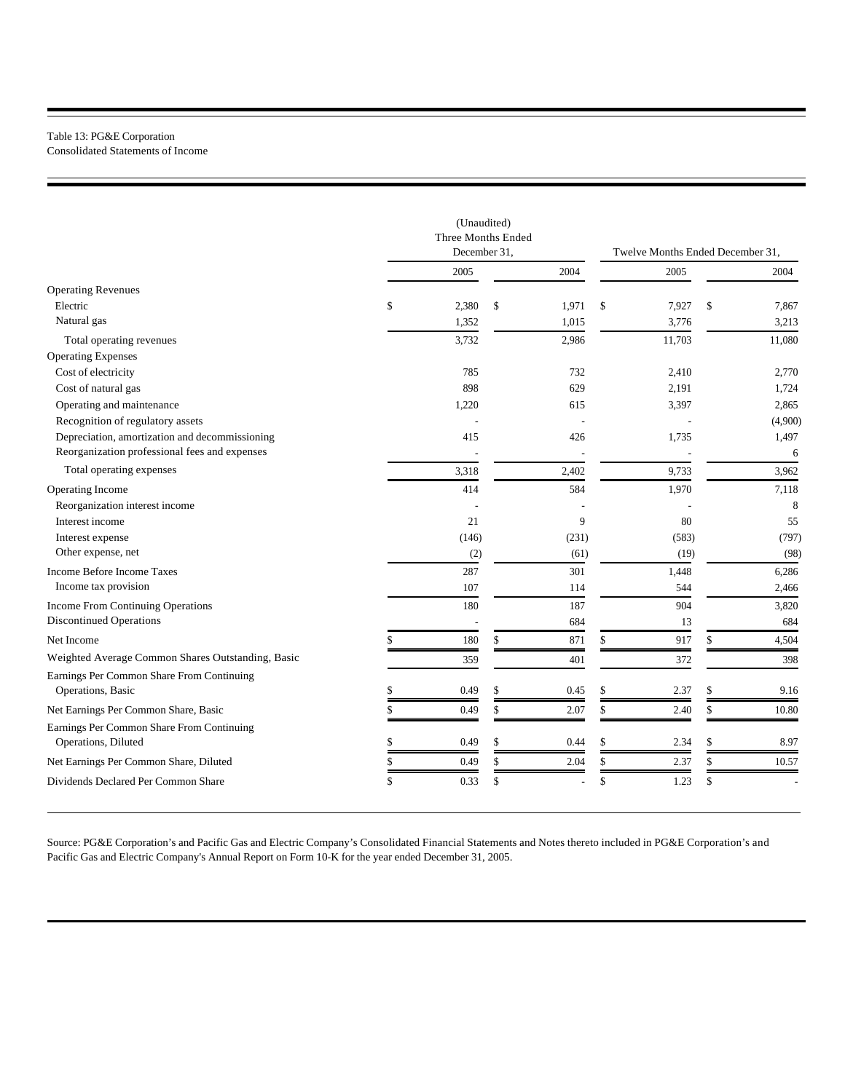# Table 13: PG&E Corporation

Consolidated Statements of Income

|                                                   | (Unaudited)<br>Three Months Ended<br>December 31, |    |       | Twelve Months Ended December 31, |             |
|---------------------------------------------------|---------------------------------------------------|----|-------|----------------------------------|-------------|
|                                                   | 2005                                              |    | 2004  | 2005                             | 2004        |
| <b>Operating Revenues</b>                         |                                                   |    |       |                                  |             |
| Electric                                          | \$<br>2,380                                       | \$ | 1,971 | \$<br>7,927                      | \$<br>7,867 |
| Natural gas                                       | 1,352                                             |    | 1,015 | 3,776                            | 3,213       |
| Total operating revenues                          | 3,732                                             |    | 2,986 | 11,703                           | 11,080      |
| <b>Operating Expenses</b>                         |                                                   |    |       |                                  |             |
| Cost of electricity                               | 785                                               |    | 732   | 2,410                            | 2,770       |
| Cost of natural gas                               | 898                                               |    | 629   | 2,191                            | 1,724       |
| Operating and maintenance                         | 1,220                                             |    | 615   | 3,397                            | 2,865       |
| Recognition of regulatory assets                  |                                                   |    |       |                                  | (4,900)     |
| Depreciation, amortization and decommissioning    | 415                                               |    | 426   | 1,735                            | 1,497       |
| Reorganization professional fees and expenses     |                                                   |    |       |                                  | 6           |
| Total operating expenses                          | 3,318                                             |    | 2,402 | 9,733                            | 3,962       |
| Operating Income                                  | 414                                               |    | 584   | 1,970                            | 7,118       |
| Reorganization interest income                    |                                                   |    |       |                                  | 8           |
| Interest income                                   | 21                                                |    | 9     | 80                               | 55          |
| Interest expense                                  | (146)                                             |    | (231) | (583)                            | (797)       |
| Other expense, net                                | (2)                                               |    | (61)  | (19)                             | (98)        |
| Income Before Income Taxes                        | 287                                               |    | 301   | 1,448                            | 6,286       |
| Income tax provision                              | 107                                               |    | 114   | 544                              | 2,466       |
| <b>Income From Continuing Operations</b>          | 180                                               |    | 187   | 904                              | 3,820       |
| <b>Discontinued Operations</b>                    |                                                   |    | 684   | 13                               | 684         |
| Net Income                                        | \$<br>180                                         | \$ | 871   | \$<br>917                        | \$<br>4,504 |
| Weighted Average Common Shares Outstanding, Basic | 359                                               |    | 401   | 372                              | 398         |
| Earnings Per Common Share From Continuing         |                                                   |    |       |                                  |             |
| Operations, Basic                                 | \$<br>0.49                                        | S  | 0.45  | \$<br>2.37                       | \$<br>9.16  |
| Net Earnings Per Common Share, Basic              | \$<br>0.49                                        | \$ | 2.07  | \$<br>2.40                       | \$<br>10.80 |
| Earnings Per Common Share From Continuing         |                                                   |    |       |                                  |             |
| Operations, Diluted                               | \$<br>0.49                                        | \$ | 0.44  | \$<br>2.34                       | \$<br>8.97  |
| Net Earnings Per Common Share, Diluted            | \$<br>0.49                                        | \$ | 2.04  | \$<br>2.37                       | \$<br>10.57 |
| Dividends Declared Per Common Share               | \$<br>0.33                                        | \$ |       | \$<br>1.23                       | \$          |
|                                                   |                                                   |    |       |                                  |             |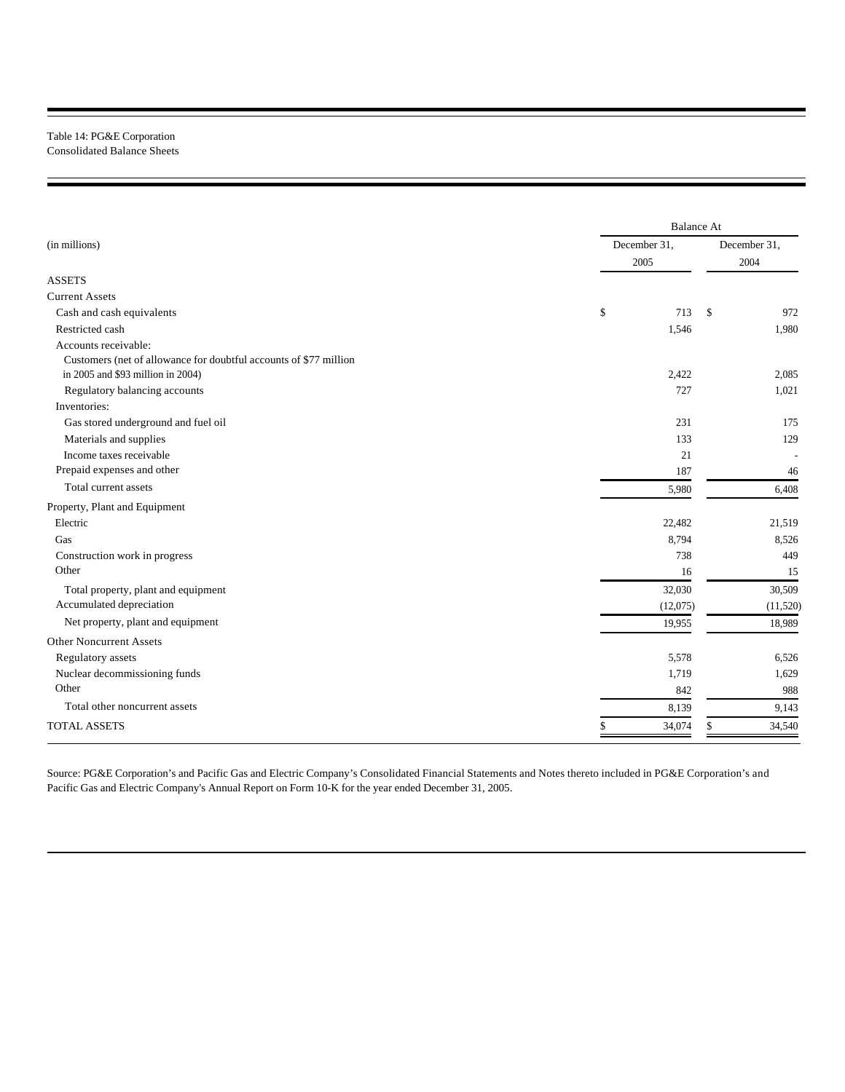## Table 14: PG&E Corporation Consolidated Balance Sheets

|                                                                   | <b>Balance At</b> |              |  |  |  |  |
|-------------------------------------------------------------------|-------------------|--------------|--|--|--|--|
| (in millions)                                                     | December 31,      | December 31, |  |  |  |  |
|                                                                   | 2005              | 2004         |  |  |  |  |
| <b>ASSETS</b>                                                     |                   |              |  |  |  |  |
| <b>Current Assets</b>                                             |                   |              |  |  |  |  |
| Cash and cash equivalents                                         | \$<br>713         | \$<br>972    |  |  |  |  |
| Restricted cash                                                   | 1,546             | 1,980        |  |  |  |  |
| Accounts receivable:                                              |                   |              |  |  |  |  |
| Customers (net of allowance for doubtful accounts of \$77 million |                   |              |  |  |  |  |
| in 2005 and \$93 million in 2004)                                 | 2,422             | 2,085        |  |  |  |  |
| Regulatory balancing accounts                                     | 727               | 1,021        |  |  |  |  |
| Inventories:                                                      |                   |              |  |  |  |  |
| Gas stored underground and fuel oil                               | 231               | 175          |  |  |  |  |
| Materials and supplies                                            | 133               | 129          |  |  |  |  |
| Income taxes receivable                                           | 21                |              |  |  |  |  |
| Prepaid expenses and other                                        | 187               | 46           |  |  |  |  |
| Total current assets                                              | 5,980             | 6,408        |  |  |  |  |
| Property, Plant and Equipment                                     |                   |              |  |  |  |  |
| Electric                                                          | 22,482            | 21,519       |  |  |  |  |
| Gas                                                               | 8,794             | 8,526        |  |  |  |  |
| Construction work in progress                                     | 738               | 449          |  |  |  |  |
| Other                                                             | 16                | 15           |  |  |  |  |
| Total property, plant and equipment                               | 32,030            | 30,509       |  |  |  |  |
| Accumulated depreciation                                          | (12,075)          | (11,520)     |  |  |  |  |
| Net property, plant and equipment                                 | 19,955            | 18,989       |  |  |  |  |
| <b>Other Noncurrent Assets</b>                                    |                   |              |  |  |  |  |
| Regulatory assets                                                 | 5,578             | 6,526        |  |  |  |  |
| Nuclear decommissioning funds                                     | 1,719             | 1,629        |  |  |  |  |
| Other                                                             | 842               | 988          |  |  |  |  |
| Total other noncurrent assets                                     | 8,139             | 9,143        |  |  |  |  |
| <b>TOTAL ASSETS</b>                                               | 34,074            | 34,540<br>\$ |  |  |  |  |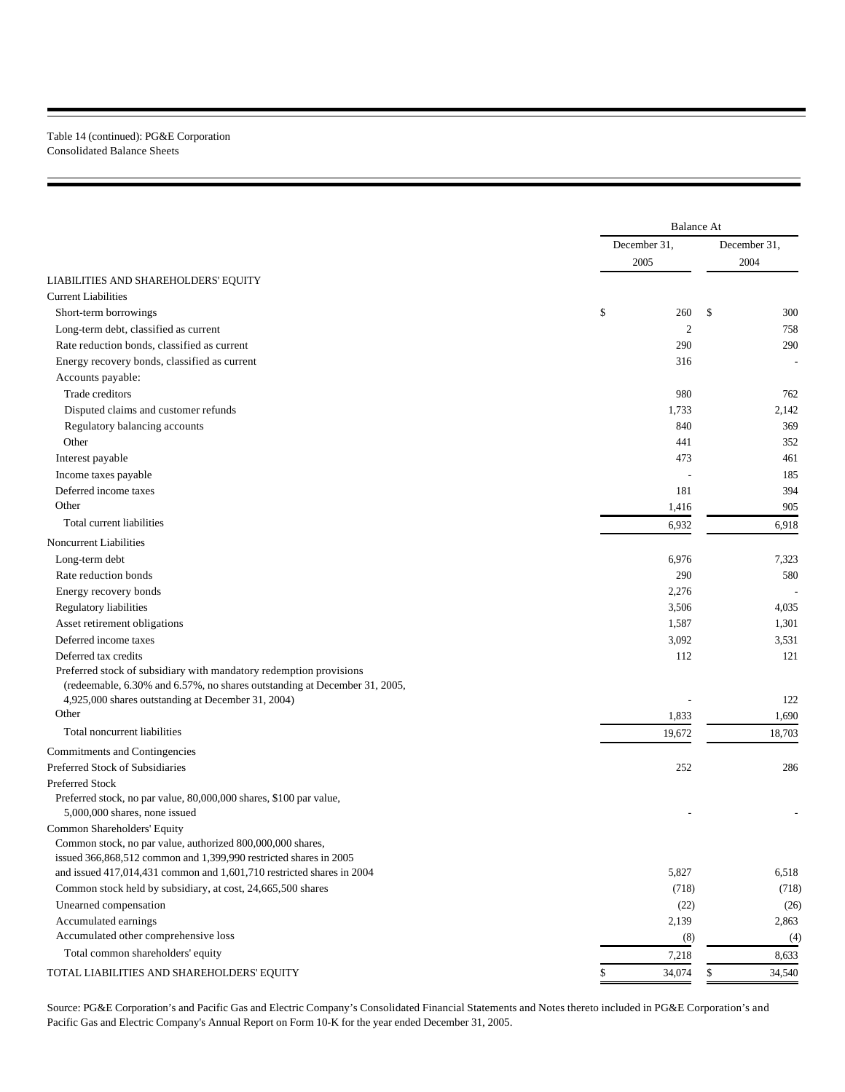## Table 14 (continued): PG&E Corporation Consolidated Balance Sheets

|                                                                                            |              | <b>Balance At</b><br>December 31,<br>2005<br>\$<br>260<br>$\boldsymbol{2}$<br>290<br>316<br>980<br>1,733<br>840<br>441 |              |  |  |
|--------------------------------------------------------------------------------------------|--------------|------------------------------------------------------------------------------------------------------------------------|--------------|--|--|
|                                                                                            |              |                                                                                                                        | December 31, |  |  |
|                                                                                            |              |                                                                                                                        | 2004         |  |  |
| LIABILITIES AND SHAREHOLDERS' EQUITY                                                       |              |                                                                                                                        |              |  |  |
| <b>Current Liabilities</b>                                                                 |              |                                                                                                                        |              |  |  |
| Short-term borrowings                                                                      |              |                                                                                                                        | \$<br>300    |  |  |
| Long-term debt, classified as current                                                      |              |                                                                                                                        | 758          |  |  |
| Rate reduction bonds, classified as current                                                |              |                                                                                                                        | 290          |  |  |
| Energy recovery bonds, classified as current                                               |              |                                                                                                                        |              |  |  |
| Accounts payable:                                                                          |              |                                                                                                                        |              |  |  |
| Trade creditors                                                                            |              |                                                                                                                        | 762          |  |  |
| Disputed claims and customer refunds                                                       |              |                                                                                                                        | 2,142        |  |  |
| Regulatory balancing accounts                                                              |              |                                                                                                                        | 369          |  |  |
| Other                                                                                      |              |                                                                                                                        | 352          |  |  |
| Interest payable                                                                           |              | 473                                                                                                                    | 461          |  |  |
| Income taxes payable                                                                       |              |                                                                                                                        | 185          |  |  |
| Deferred income taxes                                                                      |              | 181                                                                                                                    | 394          |  |  |
| Other                                                                                      | 1,416        |                                                                                                                        | 905          |  |  |
| Total current liabilities                                                                  | 6,932        |                                                                                                                        | 6,918        |  |  |
| Noncurrent Liabilities                                                                     |              |                                                                                                                        |              |  |  |
| Long-term debt                                                                             | 6,976        |                                                                                                                        | 7,323        |  |  |
| Rate reduction bonds                                                                       |              | 290                                                                                                                    | 580          |  |  |
| Energy recovery bonds                                                                      | 2,276        |                                                                                                                        |              |  |  |
| Regulatory liabilities                                                                     | 3,506        |                                                                                                                        | 4,035        |  |  |
|                                                                                            |              |                                                                                                                        |              |  |  |
| Asset retirement obligations<br>Deferred income taxes                                      | 1,587        |                                                                                                                        | 1,301        |  |  |
|                                                                                            | 3,092        |                                                                                                                        | 3,531        |  |  |
| Deferred tax credits<br>Preferred stock of subsidiary with mandatory redemption provisions |              | 112                                                                                                                    | 121          |  |  |
| (redeemable, 6.30% and 6.57%, no shares outstanding at December 31, 2005,                  |              |                                                                                                                        |              |  |  |
| 4,925,000 shares outstanding at December 31, 2004)                                         |              |                                                                                                                        | 122          |  |  |
| Other                                                                                      | 1,833        |                                                                                                                        | 1,690        |  |  |
| Total noncurrent liabilities                                                               | 19,672       |                                                                                                                        | 18,703       |  |  |
|                                                                                            |              |                                                                                                                        |              |  |  |
| Commitments and Contingencies<br>Preferred Stock of Subsidiaries                           |              | 252                                                                                                                    |              |  |  |
| Preferred Stock                                                                            |              |                                                                                                                        | 286          |  |  |
| Preferred stock, no par value, 80,000,000 shares, \$100 par value,                         |              |                                                                                                                        |              |  |  |
| 5,000,000 shares, none issued                                                              |              |                                                                                                                        |              |  |  |
| Common Shareholders' Equity                                                                |              |                                                                                                                        |              |  |  |
| Common stock, no par value, authorized 800,000,000 shares,                                 |              |                                                                                                                        |              |  |  |
| issued 366,868,512 common and 1,399,990 restricted shares in 2005                          |              |                                                                                                                        |              |  |  |
| and issued 417,014,431 common and 1,601,710 restricted shares in 2004                      | 5,827        |                                                                                                                        | 6,518        |  |  |
| Common stock held by subsidiary, at cost, 24,665,500 shares                                |              | (718)                                                                                                                  | (718)        |  |  |
| Unearned compensation                                                                      |              | (22)                                                                                                                   | (26)         |  |  |
| Accumulated earnings                                                                       | 2,139        |                                                                                                                        | 2,863        |  |  |
| Accumulated other comprehensive loss                                                       |              | (8)                                                                                                                    | (4)          |  |  |
| Total common shareholders' equity                                                          | 7,218        |                                                                                                                        | 8,633        |  |  |
|                                                                                            |              |                                                                                                                        |              |  |  |
| TOTAL LIABILITIES AND SHAREHOLDERS' EQUITY                                                 | 34,074<br>\$ |                                                                                                                        | 34,540<br>\$ |  |  |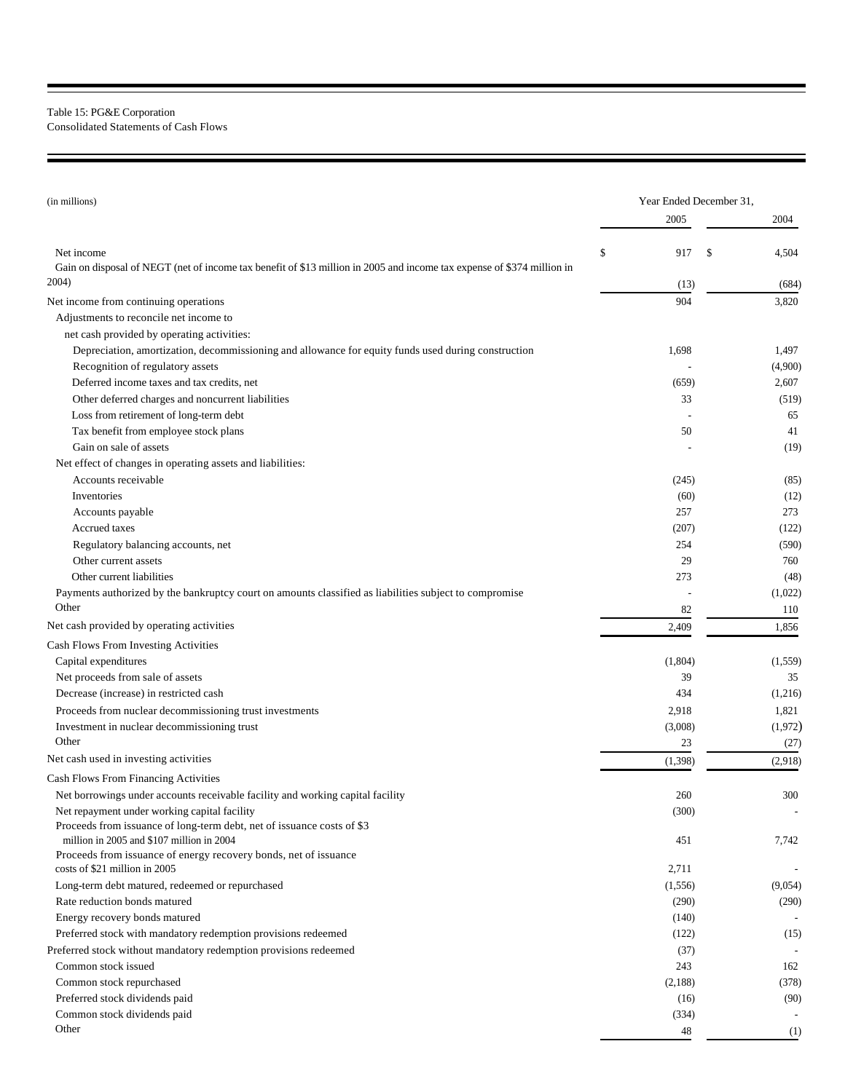## Table 15: PG&E Corporation Consolidated Statements of Cash Flows

| (in millions)                                                                                                                        |    | Year Ended December 31, |             |  |  |  |
|--------------------------------------------------------------------------------------------------------------------------------------|----|-------------------------|-------------|--|--|--|
|                                                                                                                                      |    | 2005                    | 2004        |  |  |  |
|                                                                                                                                      |    |                         |             |  |  |  |
| Net income<br>Gain on disposal of NEGT (net of income tax benefit of \$13 million in 2005 and income tax expense of \$374 million in | \$ | 917                     | \$<br>4,504 |  |  |  |
| 2004)                                                                                                                                |    | (13)                    | (684)       |  |  |  |
| Net income from continuing operations                                                                                                |    | 904                     | 3,820       |  |  |  |
| Adjustments to reconcile net income to                                                                                               |    |                         |             |  |  |  |
| net cash provided by operating activities:                                                                                           |    |                         |             |  |  |  |
| Depreciation, amortization, decommissioning and allowance for equity funds used during construction                                  |    | 1,698                   | 1,497       |  |  |  |
| Recognition of regulatory assets                                                                                                     |    |                         | (4,900)     |  |  |  |
| Deferred income taxes and tax credits, net                                                                                           |    | (659)                   | 2,607       |  |  |  |
| Other deferred charges and noncurrent liabilities                                                                                    |    | 33                      | (519)       |  |  |  |
| Loss from retirement of long-term debt                                                                                               |    |                         | 65          |  |  |  |
| Tax benefit from employee stock plans                                                                                                |    | 50                      | 41          |  |  |  |
| Gain on sale of assets                                                                                                               |    |                         | (19)        |  |  |  |
| Net effect of changes in operating assets and liabilities:                                                                           |    |                         |             |  |  |  |
| Accounts receivable                                                                                                                  |    | (245)                   | (85)        |  |  |  |
| Inventories                                                                                                                          |    | (60)                    | (12)        |  |  |  |
| Accounts payable                                                                                                                     |    | 257                     | 273         |  |  |  |
| Accrued taxes                                                                                                                        |    | (207)                   | (122)       |  |  |  |
| Regulatory balancing accounts, net                                                                                                   |    | 254                     | (590)       |  |  |  |
| Other current assets                                                                                                                 |    | 29                      | 760         |  |  |  |
| Other current liabilities                                                                                                            |    | 273                     | (48)        |  |  |  |
| Payments authorized by the bankruptcy court on amounts classified as liabilities subject to compromise                               |    |                         | (1,022)     |  |  |  |
| Other                                                                                                                                |    | 82                      | 110         |  |  |  |
| Net cash provided by operating activities                                                                                            |    | 2,409                   | 1,856       |  |  |  |
| Cash Flows From Investing Activities                                                                                                 |    |                         |             |  |  |  |
| Capital expenditures                                                                                                                 |    | (1,804)                 | (1,559)     |  |  |  |
| Net proceeds from sale of assets                                                                                                     |    | 39                      | 35          |  |  |  |
| Decrease (increase) in restricted cash                                                                                               |    | 434                     | (1,216)     |  |  |  |
| Proceeds from nuclear decommissioning trust investments                                                                              |    | 2,918                   | 1,821       |  |  |  |
| Investment in nuclear decommissioning trust                                                                                          |    | (3,008)                 | (1,972)     |  |  |  |
| Other                                                                                                                                |    | 23                      | (27)        |  |  |  |
| Net cash used in investing activities                                                                                                |    | (1, 398)                | (2,918)     |  |  |  |
| <b>Cash Flows From Financing Activities</b>                                                                                          |    |                         |             |  |  |  |
| Net borrowings under accounts receivable facility and working capital facility                                                       |    | 260                     | 300         |  |  |  |
| Net repayment under working capital facility                                                                                         |    | (300)                   |             |  |  |  |
| Proceeds from issuance of long-term debt, net of issuance costs of \$3<br>million in 2005 and \$107 million in 2004                  |    |                         |             |  |  |  |
| Proceeds from issuance of energy recovery bonds, net of issuance                                                                     |    | 451                     | 7,742       |  |  |  |
| costs of \$21 million in 2005                                                                                                        |    | 2,711                   |             |  |  |  |
| Long-term debt matured, redeemed or repurchased                                                                                      |    | (1, 556)                | (9,054)     |  |  |  |
| Rate reduction bonds matured                                                                                                         |    | (290)                   | (290)       |  |  |  |
| Energy recovery bonds matured                                                                                                        |    | (140)                   |             |  |  |  |
| Preferred stock with mandatory redemption provisions redeemed                                                                        |    | (122)                   | (15)        |  |  |  |
| Preferred stock without mandatory redemption provisions redeemed                                                                     |    | (37)                    |             |  |  |  |
| Common stock issued                                                                                                                  |    | 243                     | 162         |  |  |  |
| Common stock repurchased                                                                                                             |    | (2,188)                 | (378)       |  |  |  |
| Preferred stock dividends paid                                                                                                       |    | (16)                    | (90)        |  |  |  |
| Common stock dividends paid                                                                                                          |    | (334)                   |             |  |  |  |
| Other                                                                                                                                |    | 48                      | (1)         |  |  |  |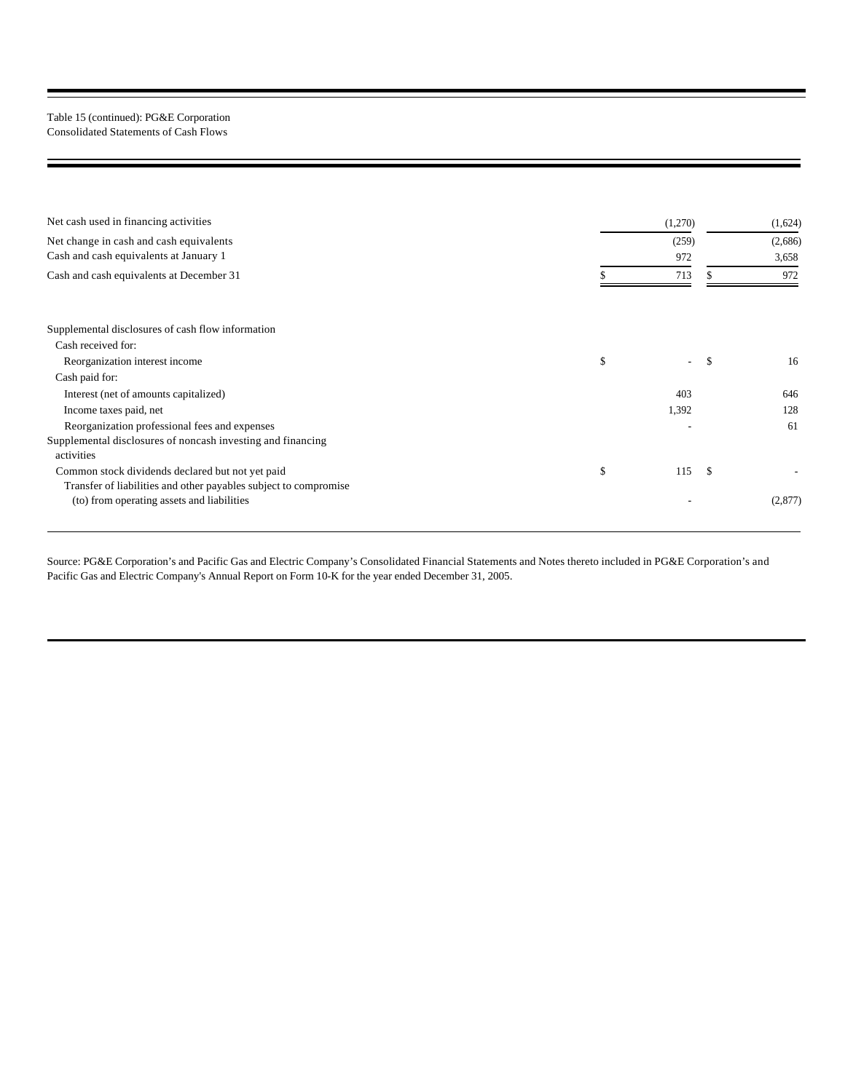## Table 15 (continued): PG&E Corporation Consolidated Statements of Cash Flows

| Net cash used in financing activities                            | (1,270)   |               | (1,624) |
|------------------------------------------------------------------|-----------|---------------|---------|
| Net change in cash and cash equivalents                          | (259)     |               | (2,686) |
| Cash and cash equivalents at January 1                           | 972       |               | 3,658   |
| Cash and cash equivalents at December 31                         | 713       |               | 972     |
|                                                                  |           |               |         |
| Supplemental disclosures of cash flow information                |           |               |         |
| Cash received for:                                               |           |               |         |
| Reorganization interest income                                   | \$        | <sup>\$</sup> | 16      |
| Cash paid for:                                                   |           |               |         |
| Interest (net of amounts capitalized)                            | 403       |               | 646     |
| Income taxes paid, net                                           | 1,392     |               | 128     |
| Reorganization professional fees and expenses                    |           |               | 61      |
| Supplemental disclosures of noncash investing and financing      |           |               |         |
| activities                                                       |           |               |         |
| Common stock dividends declared but not yet paid                 | \$<br>115 | \$.           |         |
| Transfer of liabilities and other payables subject to compromise |           |               |         |
| (to) from operating assets and liabilities                       |           |               | (2,877) |
|                                                                  |           |               |         |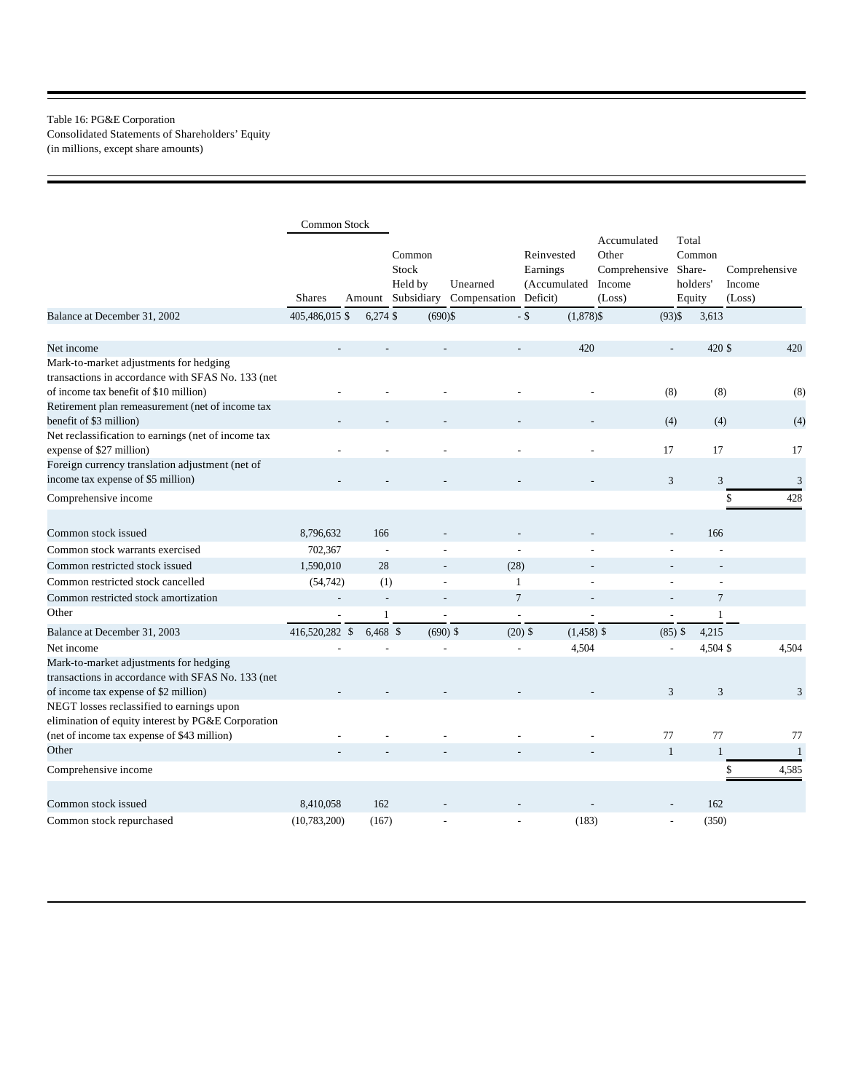## Table 16: PG&E Corporation Consolidated Statements of Shareholders' Equity (in millions, except share amounts)

|                                                                                                                                                | <b>Common Stock</b>      |               |                                          |                                   |                                        |                                                           |                                                 |                                   |
|------------------------------------------------------------------------------------------------------------------------------------------------|--------------------------|---------------|------------------------------------------|-----------------------------------|----------------------------------------|-----------------------------------------------------------|-------------------------------------------------|-----------------------------------|
|                                                                                                                                                | <b>Shares</b>            | Amount        | Common<br>Stock<br>Held by<br>Subsidiary | Unearned<br>Compensation Deficit) | Reinvested<br>Earnings<br>(Accumulated | Accumulated<br>Other<br>Comprehensive<br>Income<br>(Loss) | Total<br>Common<br>Share-<br>holders'<br>Equity | Comprehensive<br>Income<br>(Loss) |
| Balance at December 31, 2002                                                                                                                   | 405,486,015 \$           | $6,274$ \$    | $(690)$ \$                               |                                   | $-$ \$<br>$(1,878)$ \$                 |                                                           | $(93)$ \$<br>3,613                              |                                   |
| Net income                                                                                                                                     |                          |               |                                          |                                   | 420<br>÷.                              |                                                           | 420 \$<br>$\overline{a}$                        | 420                               |
| Mark-to-market adjustments for hedging<br>transactions in accordance with SFAS No. 133 (net<br>of income tax benefit of \$10 million)          |                          |               |                                          |                                   |                                        |                                                           | (8)                                             | (8)<br>(8)                        |
| Retirement plan remeasurement (net of income tax<br>benefit of \$3 million)                                                                    |                          |               |                                          |                                   |                                        |                                                           | (4)                                             | (4)<br>(4)                        |
| Net reclassification to earnings (net of income tax<br>expense of \$27 million)<br>Foreign currency translation adjustment (net of             |                          |               |                                          |                                   |                                        | 17                                                        | 17                                              | 17                                |
| income tax expense of \$5 million)                                                                                                             |                          |               |                                          |                                   |                                        |                                                           | $\mathfrak{Z}$                                  | 3<br>$\mathfrak{Z}$               |
| Comprehensive income                                                                                                                           |                          |               |                                          |                                   |                                        |                                                           |                                                 | \$<br>428                         |
| Common stock issued                                                                                                                            | 8,796,632                | 166           |                                          |                                   |                                        |                                                           | 166                                             |                                   |
| Common stock warrants exercised                                                                                                                | 702,367                  | L,            |                                          |                                   | L,                                     |                                                           |                                                 |                                   |
| Common restricted stock issued                                                                                                                 | 1,590,010                | 28            |                                          | (28)                              |                                        |                                                           |                                                 |                                   |
| Common restricted stock cancelled                                                                                                              | (54, 742)                | (1)           |                                          | L,                                | $\mathbf{1}$                           |                                                           |                                                 | ÷,                                |
| Common restricted stock amortization                                                                                                           | $\overline{\phantom{a}}$ | $\mathcal{L}$ |                                          | $\overline{a}$                    | $\overline{7}$                         | ٠                                                         | $\overline{a}$                                  | $\overline{7}$                    |
| Other                                                                                                                                          | ÷,                       | $\mathbf{1}$  |                                          | L,                                | $\overline{a}$                         | L,                                                        | Ĭ.                                              | $\mathbf{1}$                      |
| Balance at December 31, 2003                                                                                                                   | 416,520,282 \$           | $6,468$ \$    | $(690)$ \$                               |                                   | $(20)$ \$<br>$(1,458)$ \$              |                                                           | $(85)$ \$<br>4,215                              |                                   |
| Net income                                                                                                                                     |                          |               |                                          |                                   | 4,504                                  |                                                           | 4,504 \$                                        | 4,504                             |
| Mark-to-market adjustments for hedging<br>transactions in accordance with SFAS No. 133 (net<br>of income tax expense of \$2 million)           |                          |               |                                          |                                   |                                        |                                                           | 3                                               | 3<br>$\overline{3}$               |
| NEGT losses reclassified to earnings upon<br>elimination of equity interest by PG&E Corporation<br>(net of income tax expense of \$43 million) |                          |               |                                          |                                   |                                        | 77                                                        | 77                                              | 77                                |
| Other                                                                                                                                          |                          |               |                                          |                                   |                                        | $\mathbf{1}$                                              |                                                 | $\mathbf{1}$<br>$\mathbf{1}$      |
| Comprehensive income                                                                                                                           |                          |               |                                          |                                   |                                        |                                                           |                                                 | 4,585<br>\$                       |
| Common stock issued                                                                                                                            | 8,410,058                | 162           |                                          |                                   |                                        |                                                           | 162                                             |                                   |
| Common stock repurchased                                                                                                                       | (10,783,200)             | (167)         |                                          |                                   | (183)                                  |                                                           | (350)                                           |                                   |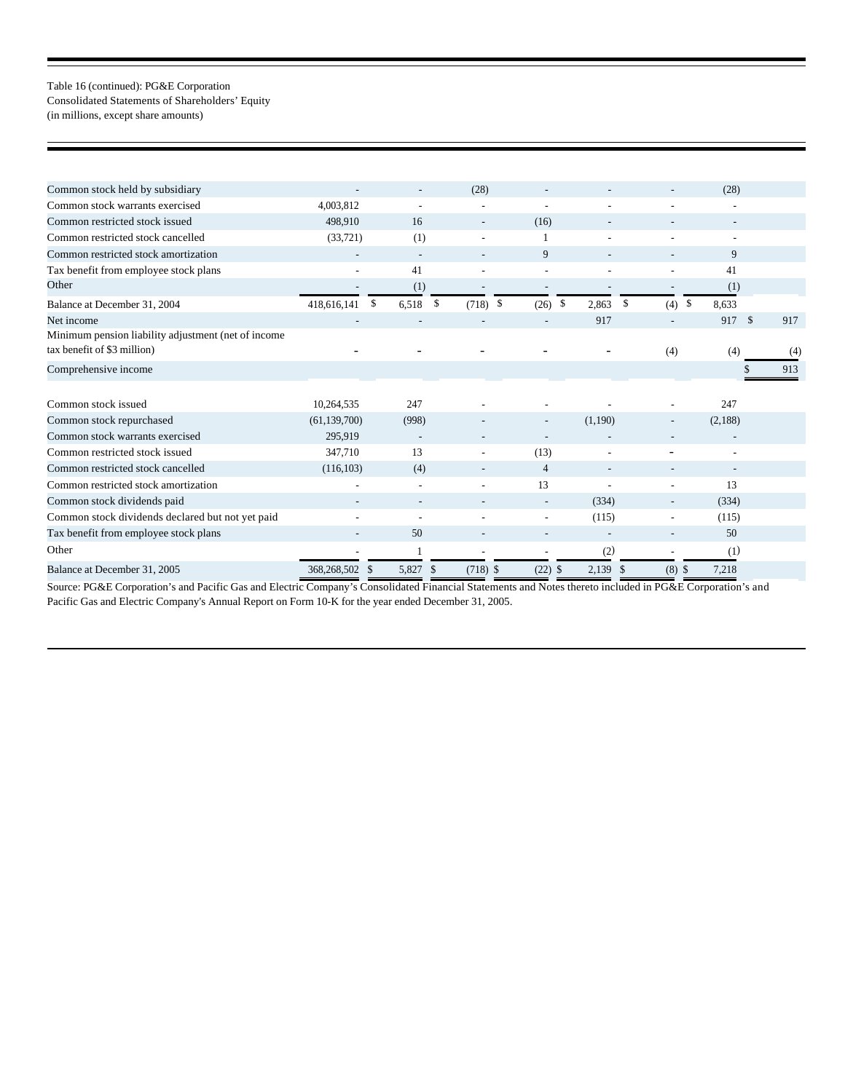## Table 16 (continued): PG&E Corporation Consolidated Statements of Shareholders' Equity (in millions, except share amounts)

| Common stock held by subsidiary                                                    |                              |                        | (28)                     |                          |                          |                          | (28)                   |     |
|------------------------------------------------------------------------------------|------------------------------|------------------------|--------------------------|--------------------------|--------------------------|--------------------------|------------------------|-----|
| Common stock warrants exercised                                                    | 4,003,812                    |                        | ٠                        | $\overline{\phantom{a}}$ | ٠                        |                          |                        |     |
| Common restricted stock issued                                                     | 498,910                      | 16                     | $\overline{\phantom{a}}$ | (16)                     | $\overline{\phantom{a}}$ |                          |                        |     |
| Common restricted stock cancelled                                                  | (33, 721)                    | (1)                    | ٠                        |                          | ٠                        |                          | ٠                      |     |
| Common restricted stock amortization                                               |                              |                        |                          | 9                        | $\overline{\phantom{a}}$ |                          | 9                      |     |
| Tax benefit from employee stock plans                                              | $\sim$                       | 41                     | ٠                        | $\overline{\phantom{a}}$ | ٠                        |                          | 41                     |     |
| Other                                                                              |                              | (1)                    |                          | $\overline{\phantom{a}}$ |                          |                          | (1)                    |     |
| Balance at December 31, 2004                                                       | \$<br>418,616,141            | 6,518                  | \$<br>$(718)$ \$         | $(26)$ \$                | 2,863                    | \$<br>(4)                | $\mathcal{S}$<br>8,633 |     |
| Net income                                                                         |                              |                        |                          |                          | 917                      | $\overline{\phantom{a}}$ | 917 \$                 | 917 |
| Minimum pension liability adjustment (net of income<br>tax benefit of \$3 million) |                              |                        |                          |                          |                          | (4)                      | (4)                    | (4) |
| Comprehensive income                                                               |                              |                        |                          |                          |                          |                          |                        | 913 |
|                                                                                    |                              |                        |                          |                          |                          |                          |                        |     |
| Common stock issued                                                                | 10,264,535                   | 247                    |                          |                          |                          |                          | 247                    |     |
| Common stock repurchased                                                           | (61, 139, 700)               | (998)                  |                          | $\overline{\phantom{a}}$ | (1,190)                  |                          | (2,188)                |     |
| Common stock warrants exercised                                                    | 295,919                      |                        |                          | $\blacksquare$           |                          |                          |                        |     |
| Common restricted stock issued                                                     | 347,710                      | 13                     |                          | (13)                     | $\overline{a}$           |                          |                        |     |
| Common restricted stock cancelled                                                  | (116, 103)                   | (4)                    |                          | $\overline{4}$           | $\overline{\phantom{a}}$ |                          |                        |     |
| Common restricted stock amortization                                               |                              |                        |                          | 13                       | ä,                       |                          | 13                     |     |
| Common stock dividends paid                                                        |                              |                        |                          |                          | (334)                    |                          | (334)                  |     |
| Common stock dividends declared but not yet paid                                   |                              |                        |                          | $\overline{\phantom{a}}$ | (115)                    |                          | (115)                  |     |
| Tax benefit from employee stock plans                                              |                              | 50                     |                          | $\blacksquare$           |                          |                          | 50                     |     |
| Other                                                                              |                              |                        | ٠                        | $\overline{\phantom{a}}$ | (2)                      | ٠                        | (1)                    |     |
| Balance at December 31, 2005                                                       | 368,268,502<br><sup>\$</sup> | 5,827<br><sup>\$</sup> | $(718)$ \$               | (22)                     | 2,139<br>-S              | (8)<br><sup>\$</sup>     | 7,218<br>$\mathbb{S}$  |     |
|                                                                                    |                              |                        |                          |                          |                          |                          |                        |     |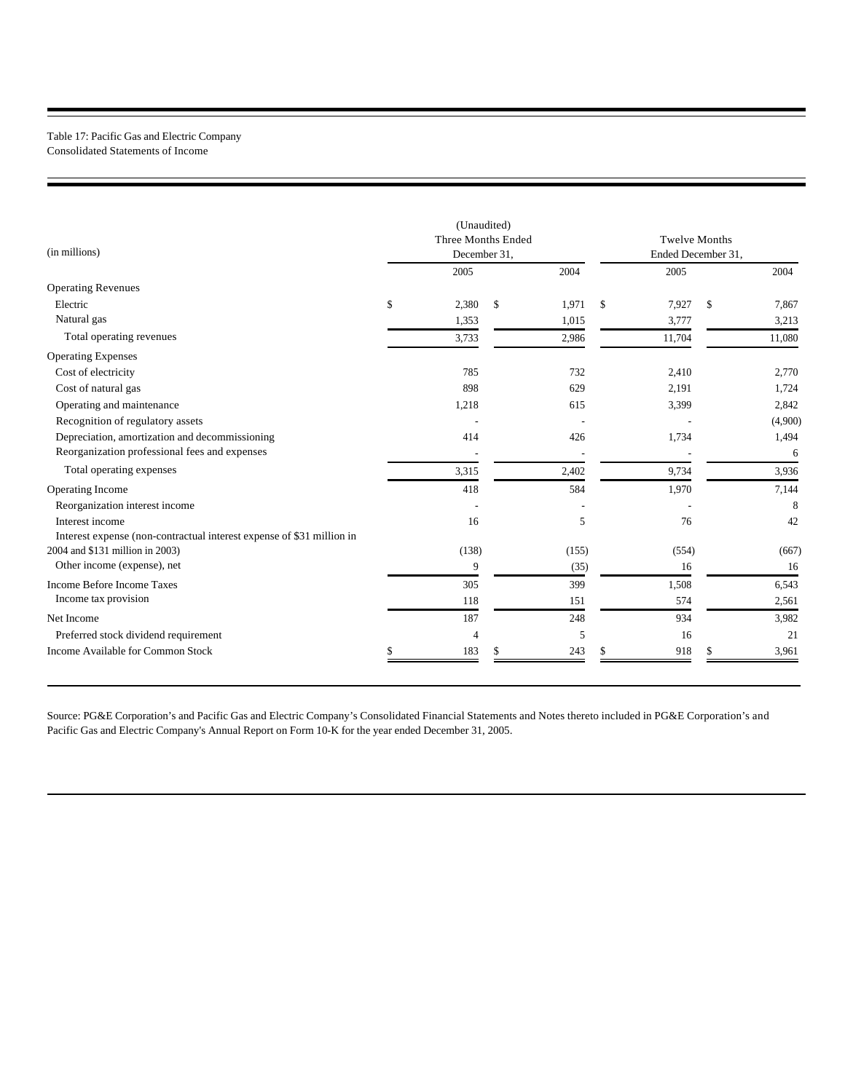### Table 17: Pacific Gas and Electric Company Consolidated Statements of Income

| (in millions)<br><b>Operating Revenues</b><br>Electric                | (Unaudited)<br>Three Months Ended<br>December 31, |                |    |       |    | <b>Twelve Months</b><br>Ended December 31, |    |         |  |
|-----------------------------------------------------------------------|---------------------------------------------------|----------------|----|-------|----|--------------------------------------------|----|---------|--|
|                                                                       |                                                   | 2005           |    | 2004  |    | 2005                                       |    | 2004    |  |
|                                                                       |                                                   |                |    |       |    |                                            |    |         |  |
|                                                                       | \$                                                | 2,380          | \$ | 1,971 | \$ | 7,927                                      | \$ | 7,867   |  |
| Natural gas                                                           |                                                   | 1,353          |    | 1,015 |    | 3,777                                      |    | 3,213   |  |
| Total operating revenues                                              |                                                   | 3,733          |    | 2,986 |    | 11,704                                     |    | 11,080  |  |
| <b>Operating Expenses</b>                                             |                                                   |                |    |       |    |                                            |    |         |  |
| Cost of electricity                                                   |                                                   | 785            |    | 732   |    | 2,410                                      |    | 2,770   |  |
| Cost of natural gas                                                   |                                                   | 898            |    | 629   |    | 2,191                                      |    | 1,724   |  |
| Operating and maintenance                                             |                                                   | 1,218          |    | 615   |    | 3,399                                      |    | 2,842   |  |
| Recognition of regulatory assets                                      |                                                   |                |    |       |    |                                            |    | (4,900) |  |
| Depreciation, amortization and decommissioning                        |                                                   | 414            |    | 426   |    | 1,734                                      |    | 1,494   |  |
| Reorganization professional fees and expenses                         |                                                   |                |    |       |    |                                            |    | 6       |  |
| Total operating expenses                                              |                                                   | 3,315          |    | 2,402 |    | 9,734                                      |    | 3,936   |  |
| Operating Income                                                      |                                                   | 418            |    | 584   |    | 1,970                                      |    | 7,144   |  |
| Reorganization interest income                                        |                                                   |                |    |       |    |                                            |    | 8       |  |
| Interest income                                                       |                                                   | 16             |    | 5     |    | 76                                         |    | 42      |  |
| Interest expense (non-contractual interest expense of \$31 million in |                                                   |                |    |       |    |                                            |    |         |  |
| 2004 and \$131 million in 2003)                                       |                                                   | (138)          |    | (155) |    | (554)                                      |    | (667)   |  |
| Other income (expense), net                                           |                                                   | 9              |    | (35)  |    | 16                                         |    | 16      |  |
| <b>Income Before Income Taxes</b>                                     |                                                   | 305            |    | 399   |    | 1,508                                      |    | 6,543   |  |
| Income tax provision                                                  |                                                   | 118            |    | 151   |    | 574                                        |    | 2,561   |  |
| Net Income                                                            |                                                   | 187            |    | 248   |    | 934                                        |    | 3,982   |  |
| Preferred stock dividend requirement                                  |                                                   | $\overline{4}$ |    | 5     |    | 16                                         |    | 21      |  |
| Income Available for Common Stock                                     | S                                                 | 183            | S  | 243   | S  | 918                                        | S  | 3,961   |  |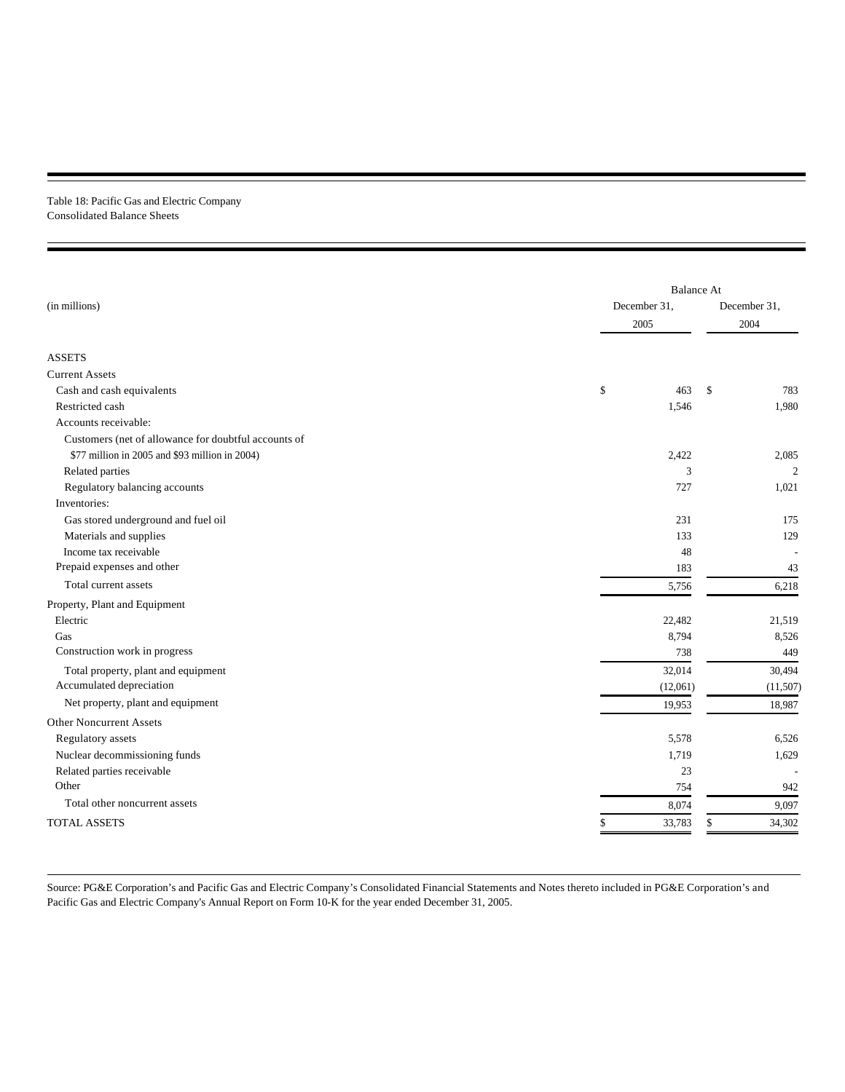### Table 18: Pacific Gas and Electric Company Consolidated Balance Sheets

|                                                      |              | <b>Balance At</b> |  |  |  |  |  |
|------------------------------------------------------|--------------|-------------------|--|--|--|--|--|
| (in millions)                                        | December 31. | December 31,      |  |  |  |  |  |
|                                                      | 2005         | 2004              |  |  |  |  |  |
|                                                      |              |                   |  |  |  |  |  |
| <b>ASSETS</b>                                        |              |                   |  |  |  |  |  |
| <b>Current Assets</b>                                |              |                   |  |  |  |  |  |
| Cash and cash equivalents                            | \$<br>463    | \$<br>783         |  |  |  |  |  |
| Restricted cash                                      | 1,546        | 1,980             |  |  |  |  |  |
| Accounts receivable:                                 |              |                   |  |  |  |  |  |
| Customers (net of allowance for doubtful accounts of |              |                   |  |  |  |  |  |
| \$77 million in 2005 and \$93 million in 2004)       | 2,422        | 2,085             |  |  |  |  |  |
| Related parties                                      | 3            | $\overline{c}$    |  |  |  |  |  |
| Regulatory balancing accounts                        | 727          | 1,021             |  |  |  |  |  |
| Inventories:                                         |              |                   |  |  |  |  |  |
| Gas stored underground and fuel oil                  | 231          | 175               |  |  |  |  |  |
| Materials and supplies                               | 133          | 129               |  |  |  |  |  |
| Income tax receivable                                | 48           |                   |  |  |  |  |  |
| Prepaid expenses and other                           | 183          | 43                |  |  |  |  |  |
| Total current assets                                 | 5,756        | 6,218             |  |  |  |  |  |
| Property, Plant and Equipment                        |              |                   |  |  |  |  |  |
| Electric                                             | 22,482       | 21,519            |  |  |  |  |  |
| Gas                                                  | 8,794        | 8,526             |  |  |  |  |  |
| Construction work in progress                        | 738          | 449               |  |  |  |  |  |
| Total property, plant and equipment                  | 32,014       | 30,494            |  |  |  |  |  |
| Accumulated depreciation                             | (12,061)     | (11,507)          |  |  |  |  |  |
| Net property, plant and equipment                    | 19,953       | 18,987            |  |  |  |  |  |
| <b>Other Noncurrent Assets</b>                       |              |                   |  |  |  |  |  |
| Regulatory assets                                    | 5,578        | 6,526             |  |  |  |  |  |
| Nuclear decommissioning funds                        | 1,719        | 1,629             |  |  |  |  |  |
| Related parties receivable                           | 23           |                   |  |  |  |  |  |
| Other                                                | 754          | 942               |  |  |  |  |  |
| Total other noncurrent assets                        | 8,074        | 9,097             |  |  |  |  |  |
| <b>TOTAL ASSETS</b>                                  | 33,783       | 34,302<br>\$      |  |  |  |  |  |
|                                                      |              |                   |  |  |  |  |  |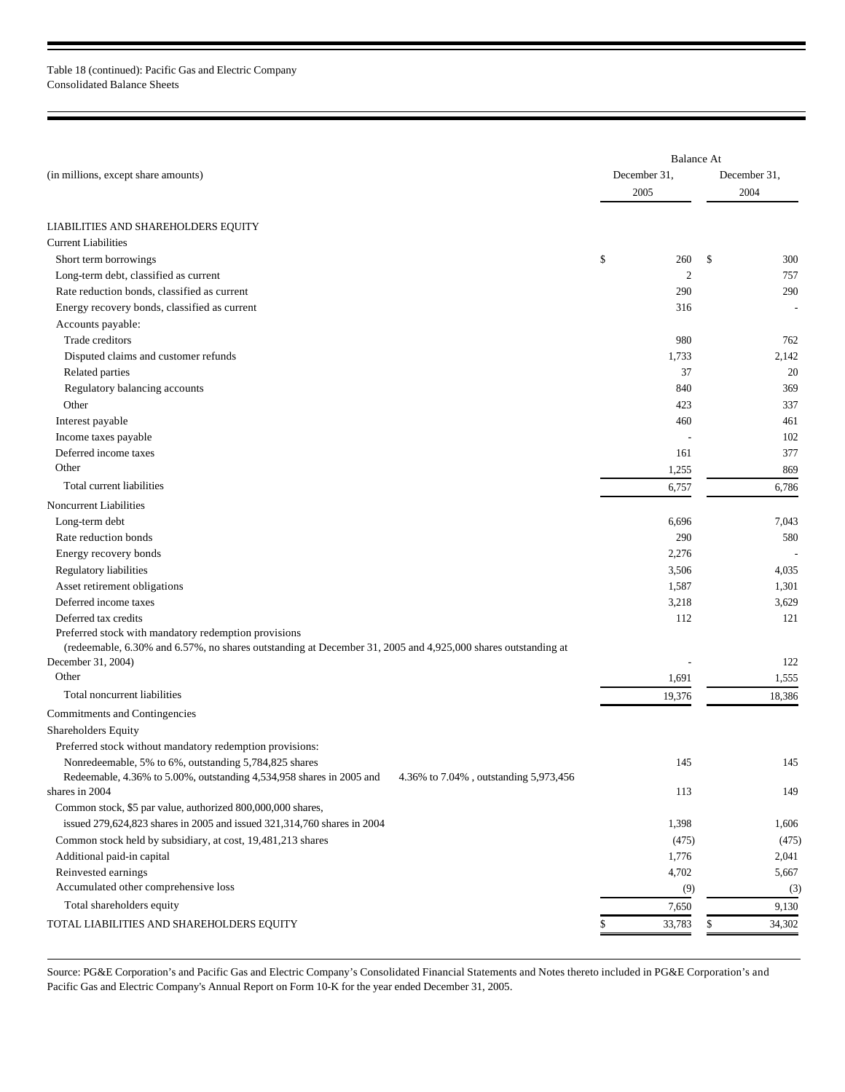Table 18 (continued): Pacific Gas and Electric Company Consolidated Balance Sheets

|                                                                                                                                                                      | <b>Balance At</b> |              |
|----------------------------------------------------------------------------------------------------------------------------------------------------------------------|-------------------|--------------|
| (in millions, except share amounts)                                                                                                                                  | December 31,      | December 31, |
|                                                                                                                                                                      | 2005              | 2004         |
|                                                                                                                                                                      |                   |              |
| LIABILITIES AND SHAREHOLDERS EQUITY                                                                                                                                  |                   |              |
| <b>Current Liabilities</b>                                                                                                                                           |                   |              |
| Short term borrowings                                                                                                                                                | \$<br>260         | \$<br>300    |
| Long-term debt, classified as current                                                                                                                                | $\overline{2}$    | 757          |
| Rate reduction bonds, classified as current                                                                                                                          | 290               | 290          |
| Energy recovery bonds, classified as current                                                                                                                         | 316               |              |
| Accounts payable:                                                                                                                                                    |                   |              |
| Trade creditors                                                                                                                                                      | 980               | 762          |
| Disputed claims and customer refunds                                                                                                                                 | 1,733             | 2,142        |
| Related parties                                                                                                                                                      | 37                | 20           |
| Regulatory balancing accounts                                                                                                                                        | 840               | 369          |
| Other                                                                                                                                                                | 423               | 337          |
| Interest payable                                                                                                                                                     | 460               | 461          |
| Income taxes payable                                                                                                                                                 |                   | 102          |
| Deferred income taxes                                                                                                                                                | 161               | 377          |
| Other                                                                                                                                                                | 1,255             | 869          |
| Total current liabilities                                                                                                                                            | 6,757             | 6,786        |
| Noncurrent Liabilities                                                                                                                                               |                   |              |
| Long-term debt                                                                                                                                                       | 6,696             | 7,043        |
| Rate reduction bonds                                                                                                                                                 | 290               | 580          |
| Energy recovery bonds                                                                                                                                                | 2,276             |              |
| Regulatory liabilities                                                                                                                                               | 3,506             | 4,035        |
| Asset retirement obligations                                                                                                                                         | 1,587             | 1,301        |
| Deferred income taxes                                                                                                                                                | 3,218             | 3,629        |
| Deferred tax credits                                                                                                                                                 | 112               | 121          |
| Preferred stock with mandatory redemption provisions<br>(redeemable, 6.30% and 6.57%, no shares outstanding at December 31, 2005 and 4,925,000 shares outstanding at |                   |              |
| December 31, 2004)                                                                                                                                                   |                   | 122          |
| Other                                                                                                                                                                | 1,691             | 1,555        |
| Total noncurrent liabilities                                                                                                                                         | 19,376            | 18,386       |
| Commitments and Contingencies                                                                                                                                        |                   |              |
| Shareholders Equity                                                                                                                                                  |                   |              |
| Preferred stock without mandatory redemption provisions:                                                                                                             |                   |              |
| Nonredeemable, 5% to 6%, outstanding 5,784,825 shares                                                                                                                | 145               | 145          |
| Redeemable, 4.36% to 5.00%, outstanding 4,534,958 shares in 2005 and<br>4.36% to 7.04%, outstanding 5,973,456                                                        |                   |              |
| shares in 2004                                                                                                                                                       | 113               | 149          |
| Common stock, \$5 par value, authorized 800,000,000 shares,                                                                                                          |                   |              |
| issued 279,624,823 shares in 2005 and issued 321,314,760 shares in 2004                                                                                              | 1,398             | 1,606        |
| Common stock held by subsidiary, at cost, 19,481,213 shares                                                                                                          | (475)             | (475)        |
| Additional paid-in capital                                                                                                                                           | 1,776             | 2,041        |
| Reinvested earnings                                                                                                                                                  | 4,702             | 5,667        |
| Accumulated other comprehensive loss                                                                                                                                 | (9)               | (3)          |
| Total shareholders equity                                                                                                                                            | 7,650             | 9,130        |
| TOTAL LIABILITIES AND SHAREHOLDERS EQUITY                                                                                                                            | 33,783            | \$<br>34,302 |
|                                                                                                                                                                      |                   |              |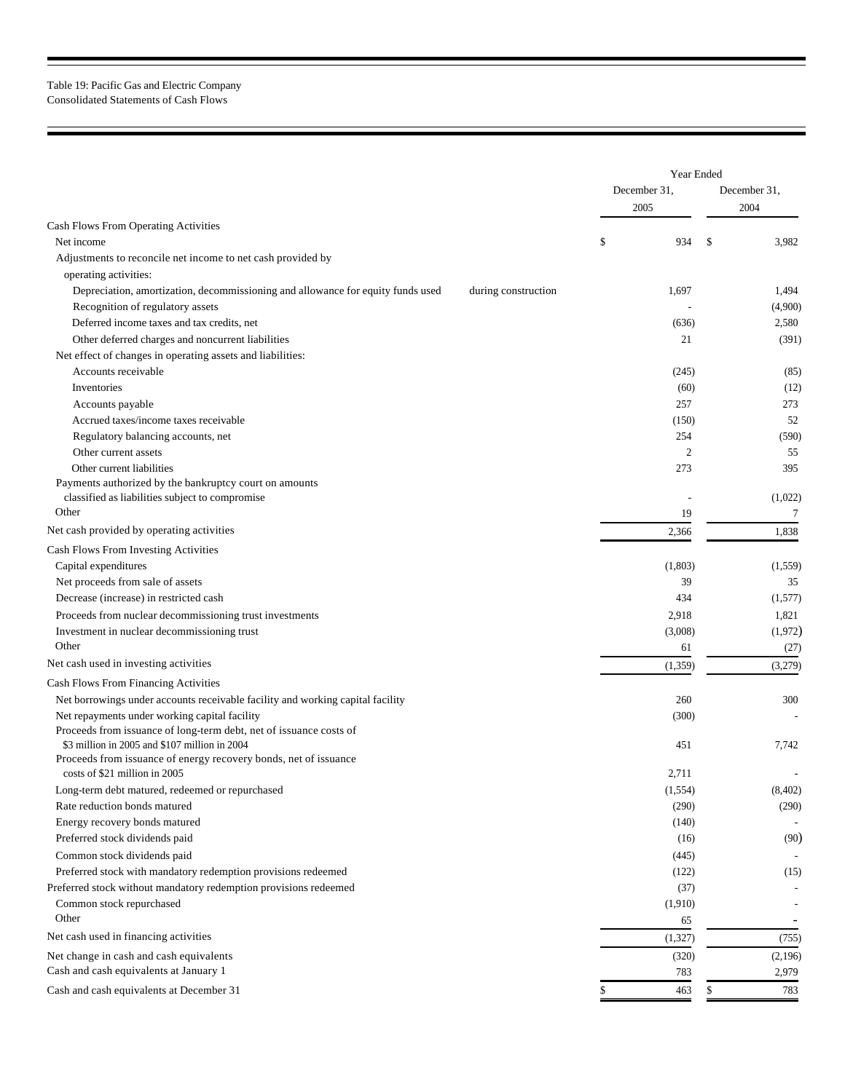## Table 19: Pacific Gas and Electric Company Consolidated Statements of Cash Flows

 $\blacksquare$ 

Е

|                                                                                                                     |                     | Year Ended     |                  |  |
|---------------------------------------------------------------------------------------------------------------------|---------------------|----------------|------------------|--|
|                                                                                                                     |                     | December 31,   | December 31,     |  |
|                                                                                                                     |                     | 2005           | 2004             |  |
| Cash Flows From Operating Activities                                                                                |                     |                |                  |  |
| Net income                                                                                                          |                     | \$<br>934      | \$<br>3,982      |  |
| Adjustments to reconcile net income to net cash provided by                                                         |                     |                |                  |  |
| operating activities:                                                                                               |                     |                |                  |  |
| Depreciation, amortization, decommissioning and allowance for equity funds used                                     | during construction | 1,697          | 1,494            |  |
| Recognition of regulatory assets                                                                                    |                     |                | (4,900)          |  |
| Deferred income taxes and tax credits, net                                                                          |                     | (636)          | 2,580            |  |
| Other deferred charges and noncurrent liabilities                                                                   |                     | 21             | (391)            |  |
| Net effect of changes in operating assets and liabilities:                                                          |                     |                |                  |  |
| Accounts receivable                                                                                                 |                     | (245)          | (85)             |  |
| Inventories                                                                                                         |                     | (60)           | (12)             |  |
| Accounts payable                                                                                                    |                     | 257            | 273              |  |
| Accrued taxes/income taxes receivable                                                                               |                     | (150)          | 52               |  |
| Regulatory balancing accounts, net                                                                                  |                     | 254            | (590)            |  |
| Other current assets                                                                                                |                     | $\overline{2}$ | 55               |  |
| Other current liabilities                                                                                           |                     | 273            | 395              |  |
| Payments authorized by the bankruptcy court on amounts                                                              |                     |                |                  |  |
| classified as liabilities subject to compromise                                                                     |                     |                | (1,022)          |  |
| Other                                                                                                               |                     | 19             | 7                |  |
| Net cash provided by operating activities                                                                           |                     | 2,366          | 1,838            |  |
| Cash Flows From Investing Activities                                                                                |                     |                |                  |  |
| Capital expenditures                                                                                                |                     | (1,803)        | (1,559)          |  |
| Net proceeds from sale of assets                                                                                    |                     | 39             | 35               |  |
| Decrease (increase) in restricted cash                                                                              |                     | 434            | (1,577)          |  |
| Proceeds from nuclear decommissioning trust investments                                                             |                     | 2,918          | 1,821            |  |
| Investment in nuclear decommissioning trust                                                                         |                     | (3,008)        | (1, 972)         |  |
| Other                                                                                                               |                     | 61             | (27)             |  |
| Net cash used in investing activities                                                                               |                     | (1, 359)       | (3,279)          |  |
|                                                                                                                     |                     |                |                  |  |
| Cash Flows From Financing Activities                                                                                |                     |                |                  |  |
| Net borrowings under accounts receivable facility and working capital facility                                      |                     | 260            | 300              |  |
| Net repayments under working capital facility<br>Proceeds from issuance of long-term debt, net of issuance costs of |                     | (300)          |                  |  |
| \$3 million in 2005 and \$107 million in 2004                                                                       |                     | 451            | 7,742            |  |
| Proceeds from issuance of energy recovery bonds, net of issuance                                                    |                     |                |                  |  |
| costs of \$21 million in 2005                                                                                       |                     | 2,711          |                  |  |
| Long-term debt matured, redeemed or repurchased                                                                     |                     | (1, 554)       | (8,402)          |  |
| Rate reduction bonds matured                                                                                        |                     | (290)          | (290)            |  |
| Energy recovery bonds matured                                                                                       |                     | (140)          |                  |  |
| Preferred stock dividends paid                                                                                      |                     | (16)           | (90)             |  |
| Common stock dividends paid                                                                                         |                     | (445)          |                  |  |
| Preferred stock with mandatory redemption provisions redeemed                                                       |                     | (122)          | (15)             |  |
| Preferred stock without mandatory redemption provisions redeemed                                                    |                     | (37)           |                  |  |
| Common stock repurchased                                                                                            |                     | (1,910)        |                  |  |
| Other                                                                                                               |                     | 65             |                  |  |
| Net cash used in financing activities                                                                               |                     | (1, 327)       | (755)            |  |
|                                                                                                                     |                     |                |                  |  |
| Net change in cash and cash equivalents<br>Cash and cash equivalents at January 1                                   |                     | (320)<br>783   | (2,196)<br>2,979 |  |
|                                                                                                                     |                     |                |                  |  |
| Cash and cash equivalents at December 31                                                                            |                     | \$<br>463      | \$<br>783        |  |

۰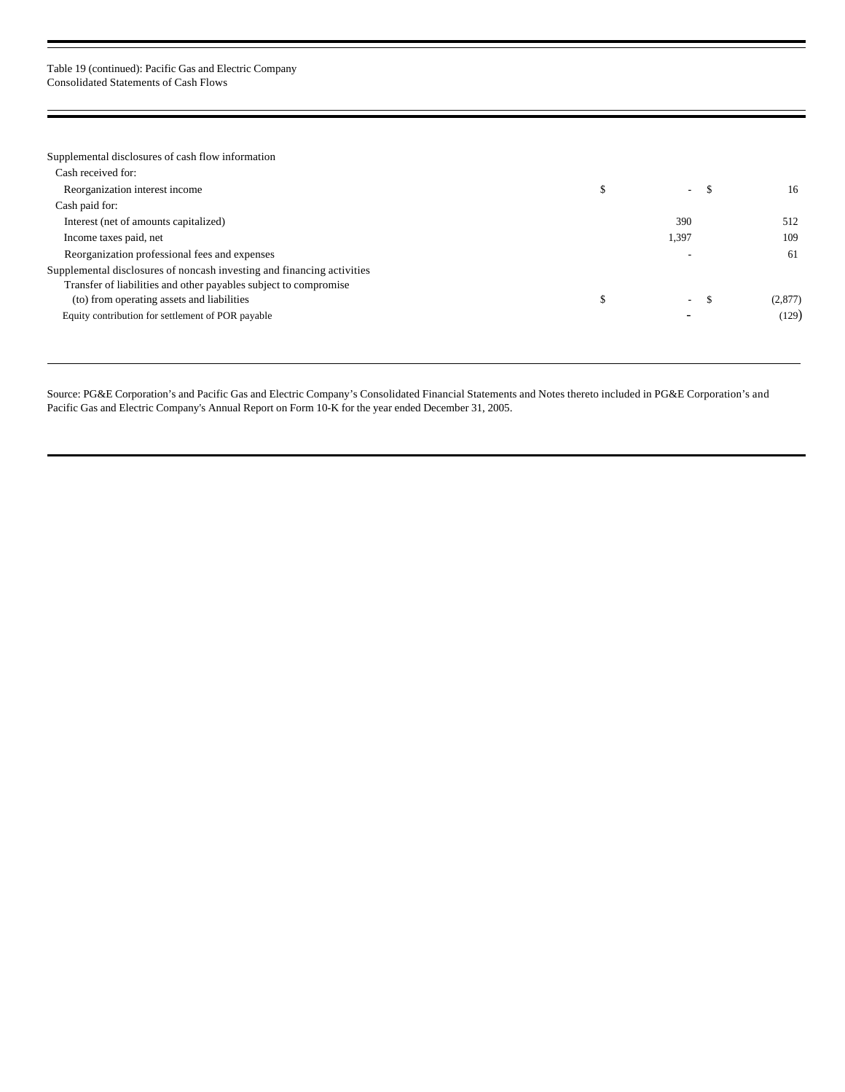### Table 19 (continued): Pacific Gas and Electric Company Consolidated Statements of Cash Flows

| Supplemental disclosures of cash flow information                      |    |        |      |         |
|------------------------------------------------------------------------|----|--------|------|---------|
| Cash received for:                                                     |    |        |      |         |
| Reorganization interest income                                         |    | ۰.     |      | 16      |
| Cash paid for:                                                         |    |        |      |         |
| Interest (net of amounts capitalized)                                  |    | 390    |      | 512     |
| Income taxes paid, net                                                 |    | 1,397  |      | 109     |
| Reorganization professional fees and expenses                          |    |        |      | 61      |
| Supplemental disclosures of noncash investing and financing activities |    |        |      |         |
| Transfer of liabilities and other payables subject to compromise       |    |        |      |         |
| (to) from operating assets and liabilities                             | J. | $\sim$ | - 55 | (2,877) |
| Equity contribution for settlement of POR payable                      |    |        |      | (129)   |
|                                                                        |    |        |      |         |